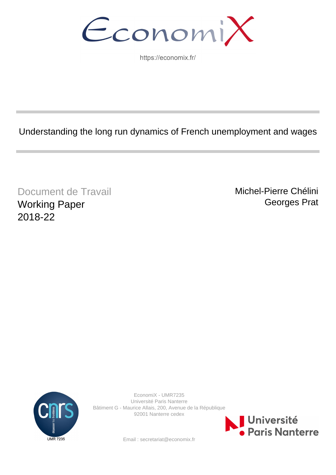EconomiX

https://economix.fr/

Understanding the long run dynamics of French unemployment and wages

Document de Travail Working Paper 2018-22

Michel-Pierre Chélini Georges Prat



EconomiX - UMR7235 Université Paris Nanterre Bâtiment G - Maurice Allais, 200, Avenue de la République 92001 Nanterre cedex



Email : secretariat@economix.fr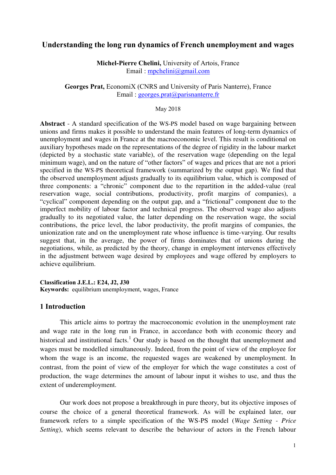# **Understanding the long run dynamics of French unemployment and wages**

**Michel-Pierre Chelini,** University of Artois, France Email : [mpchelini@gmail.com](mailto:mpchelini@gmail.com)

**Georges Prat,** EconomiX (CNRS and University of Paris Nanterre), France Email : [georges.prat@parisnanterre.fr](mailto:georges.prat@parisnanterre.fr)

### May 2018

**Abstract** - A standard specification of the WS-PS model based on wage bargaining between unions and firms makes it possible to understand the main features of long-term dynamics of unemployment and wages in France at the macroeconomic level. This result is conditional on auxiliary hypotheses made on the representations of the degree of rigidity in the labour market (depicted by a stochastic state variable), of the reservation wage (depending on the legal minimum wage), and on the nature of "other factors" of wages and prices that are not a priori specified in the WS-PS theoretical framework (summarized by the output gap). We find that the observed unemployment adjusts gradually to its equilibrium value, which is composed of three components: a "chronic" component due to the repartition in the added-value (real reservation wage, social contributions, productivity, profit margins of companies), a "cyclical" component depending on the output gap, and a "frictional" component due to the imperfect mobility of labour factor and technical progress. The observed wage also adjusts gradually to its negotiated value, the latter depending on the reservation wage, the social contributions, the price level, the labor productivity, the profit margins of companies, the unionization rate and on the unemployment rate whose influence is time-varying. Our results suggest that, in the average, the power of firms dominates that of unions during the negotiations, while, as predicted by the theory, change in employment intervenes effectively in the adjustment between wage desired by employees and wage offered by employers to achieve equilibrium.

**Classification J.E.L.: E24, J2, J30 Keywords:** equilibrium unemployment, wages, France

# **1 Introduction**

This article aims to portray the macroeconomic evolution in the unemployment rate and wage rate in the long run in France, in accordance both with economic theory and historical and institutional facts.<sup>1</sup> Our study is based on the thought that unemployment and wages must be modelled simultaneously. Indeed, from the point of view of the employee for whom the wage is an income, the requested wages are weakened by unemployment. In contrast, from the point of view of the employer for which the wage constitutes a cost of production, the wage determines the amount of labour input it wishes to use, and thus the extent of underemployment.

 Our work does not propose a breakthrough in pure theory, but its objective imposes of course the choice of a general theoretical framework. As will be explained later, our framework refers to a simple specification of the WS-PS model (*Wage Setting - Price Setting*), which seems relevant to describe the behaviour of actors in the French labour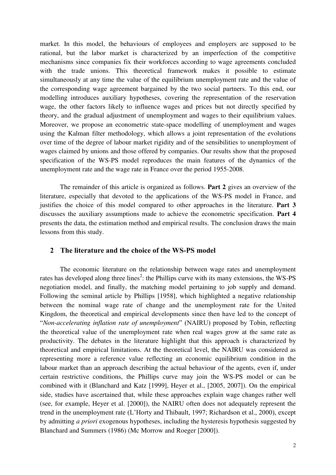market. In this model, the behaviours of employees and employers are supposed to be rational, but the labor market is characterized by an imperfection of the competitive mechanisms since companies fix their workforces according to wage agreements concluded with the trade unions. This theoretical framework makes it possible to estimate simultaneously at any time the value of the equilibrium unemployment rate and the value of the corresponding wage agreement bargained by the two social partners. To this end, our modelling introduces auxiliary hypotheses, covering the representation of the reservation wage, the other factors likely to influence wages and prices but not directly specified by theory, and the gradual adjustment of unemployment and wages to their equilibrium values. Moreover, we propose an econometric state-space modelling of unemployment and wages using the Kalman filter methodology, which allows a joint representation of the evolutions over time of the degree of labour market rigidity and of the sensibilities to unemployment of wages claimed by unions and those offered by companies. Our results show that the proposed specification of the WS-PS model reproduces the main features of the dynamics of the unemployment rate and the wage rate in France over the period 1955-2008.

 The remainder of this article is organized as follows. **Part 2** gives an overview of the literature, especially that devoted to the applications of the WS-PS model in France, and justifies the choice of this model compared to other approaches in the literature. **Part 3** discusses the auxiliary assumptions made to achieve the econometric specification. **Part 4** presents the data, the estimation method and empirical results. The conclusion draws the main lessons from this study.

# **2 The literature and the choice of the WS-PS model**

The economic literature on the relationship between wage rates and unemployment rates has developed along three lines<sup>2</sup>: the Phillips curve with its many extensions, the WS-PS negotiation model, and finally, the matching model pertaining to job supply and demand. Following the seminal article by Phillips [1958], which highlighted a negative relationship between the nominal wage rate of change and the unemployment rate for the United Kingdom, the theoretical and empirical developments since then have led to the concept of "*Non-accelerating inflation rate of unemployment*" (NAIRU) proposed by Tobin, reflecting the theoretical value of the unemployment rate when real wages grow at the same rate as productivity. The debates in the literature highlight that this approach is characterized by theoretical and empirical limitations. At the theoretical level, the NAIRU was considered as representing more a reference value reflecting an economic equilibrium condition in the labour market than an approach describing the actual behaviour of the agents, even if, under certain restrictive conditions, the Phillips curve may join the WS-PS model or can be combined with it (Blanchard and Katz [1999], Heyer et al., [2005, 2007]). On the empirical side, studies have ascertained that, while these approaches explain wage changes rather well (see, for example, Heyer et al. [2000]), the NAIRU often does not adequately represent the trend in the unemployment rate (L'Horty and Thibault, 1997; Richardson et al., 2000), except by admitting *a priori* exogenous hypotheses, including the hysteresis hypothesis suggested by Blanchard and Summers (1986) (Mc Morrow and Roeger [2000]).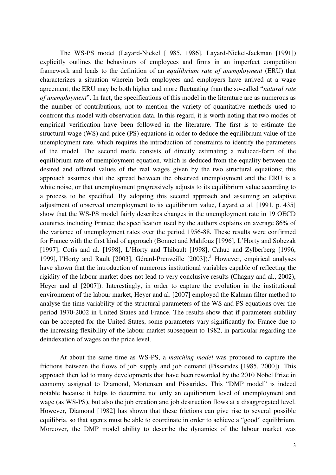The WS-PS model (Layard-Nickel [1985, 1986], Layard-Nickel-Jackman [1991]) explicitly outlines the behaviours of employees and firms in an imperfect competition framework and leads to the definition of an *equilibrium rate of unemployment* (ERU) that characterizes a situation wherein both employees and employers have arrived at a wage agreement; the ERU may be both higher and more fluctuating than the so-called "*natural rate of unemployment*". In fact, the specifications of this model in the literature are as numerous as the number of contributions, not to mention the variety of quantitative methods used to confront this model with observation data. In this regard, it is worth noting that two modes of empirical verification have been followed in the literature. The first is to estimate the structural wage (WS) and price (PS) equations in order to deduce the equilibrium value of the unemployment rate, which requires the introduction of constraints to identify the parameters of the model. The second mode consists of directly estimating a reduced-form of the equilibrium rate of unemployment equation, which is deduced from the equality between the desired and offered values of the real wages given by the two structural equations; this approach assumes that the spread between the observed unemployment and the ERU is a white noise, or that unemployment progressively adjusts to its equilibrium value according to a process to be specified. By adopting this second approach and assuming an adaptive adjustment of observed unemployment to its equilibrium value, Layard et al. [1991, p. 435] show that the WS-PS model fairly describes changes in the unemployment rate in 19 OECD countries including France; the specification used by the authors explains on average 86% of the variance of unemployment rates over the period 1956-88. These results were confirmed for France with the first kind of approach (Bonnet and Mahfouz [1996], L'Horty and Sobczak [1997], Cotis and al. [1998], L'Horty and Thibault [1998], Cahuc and Zylberberg [1996, 1999], l'Horty and Rault [2003], Gérard-Prenveille [2003]).<sup>3</sup> However, empirical analyses have shown that the introduction of numerous institutional variables capable of reflecting the rigidity of the labour market does not lead to very conclusive results (Chagny and al., 2002), Heyer and al [2007]). Interestingly, in order to capture the evolution in the institutional environment of the labour market, Heyer and al. [2007] employed the Kalman filter method to analyse the time variability of the structural parameters of the WS and PS equations over the period 1970-2002 in United States and France. The results show that if parameters stability can be accepted for the United States, some parameters vary significantly for France due to the increasing flexibility of the labour market subsequent to 1982, in particular regarding the deindexation of wages on the price level.

 At about the same time as WS-PS, a *matching model* was proposed to capture the frictions between the flows of job supply and job demand (Pissarides [1985, 2000]). This approach then led to many developments that have been rewarded by the 2010 Nobel Prize in economy assigned to Diamond, Mortensen and Pissarides. This "DMP model" is indeed notable because it helps to determine not only an equilibrium level of unemployment and wage (as WS-PS), but also the job creation and job destruction flows at a disaggregated level. However, Diamond [1982] has shown that these frictions can give rise to several possible equilibria, so that agents must be able to coordinate in order to achieve a "good" equilibrium. Moreover, the DMP model ability to describe the dynamics of the labour market was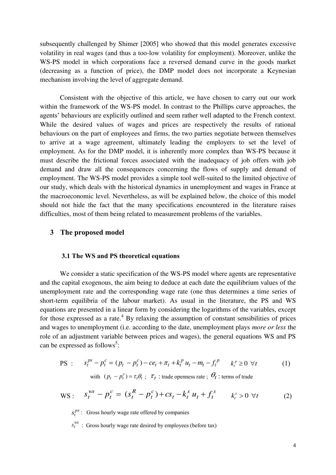subsequently challenged by Shimer [2005] who showed that this model generates excessive volatility in real wages (and thus a too-low volatility for employment). Moreover, unlike the WS-PS model in which corporations face a reversed demand curve in the goods market (decreasing as a function of price), the DMP model does not incorporate a Keynesian mechanism involving the level of aggregate demand.

 Consistent with the objective of this article, we have chosen to carry out our work within the framework of the WS-PS model. In contrast to the Phillips curve approaches, the agents' behaviours are explicitly outlined and seem rather well adapted to the French context. While the desired values of wages and prices are respectively the results of rational behaviours on the part of employees and firms, the two parties negotiate between themselves to arrive at a wage agreement, ultimately leading the employers to set the level of employment. As for the DMP model, it is inherently more complex than WS-PS because it must describe the frictional forces associated with the inadequacy of job offers with job demand and draw all the consequences concerning the flows of supply and demand of employment. The WS-PS model provides a simple tool well-suited to the limited objective of our study, which deals with the historical dynamics in unemployment and wages in France at the macroeconomic level. Nevertheless, as will be explained below, the choice of this model should not hide the fact that the many specifications encountered in the literature raises difficulties, most of them being related to measurement problems of the variables.

## **3 The proposed model**

## **3.1 The WS and PS theoretical equations**

We consider a static specification of the WS-PS model where agents are representative and the capital exogenous, the aim being to deduce at each date the equilibrium values of the unemployment rate and the corresponding wage rate (one thus determines a time series of short-term equilibria of the labour market). As usual in the literature, the PS and WS equations are presented in a linear form by considering the logarithms of the variables, except for those expressed as a rate. $4$  By relaxing the assumption of constant sensibilities of prices and wages to unemployment (i.e. according to the date, unemployment plays *more or less* the role of an adjustment variable between prices and wages), the general equations WS and PS can be expressed as follows<sup>5</sup>:

$$
PS: \t s_t^{ps} - p_t^c = (p_t - p_t^c) - ce_t + \pi_t + k_t^p u_t - m_t - f_t^p \t k_t^p \ge 0 \forall t \t (1)
$$

with 
$$
(p_t - p_t^c) = \tau_t \theta_t
$$
;  $\tau_t$  : trade openness rate;  $\theta_t$  : terms of trade

WS: 
$$
S_t^{ws} - p_t^c = (s_t^R - p_t^c) + cs_t - k_t^s u_t + f_t^s \qquad k_t^s > 0 \ \forall t
$$
 (2)

*ps*  $s_t^{ps}$ : Gross hourly wage rate offered by companies

 $s_t^{ws}$ : Gross hourly wage rate desired by employees (before tax)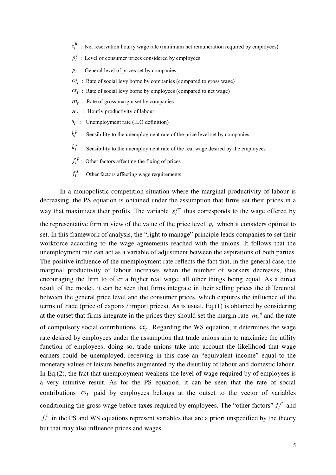- $s_t^R$ : Net reservation hourly wage rate (minimum net remuneration required by employees)
- $p_t^c$ : Level of consumer prices considered by employees
- $p_t$ : General level of prices set by companies
- $ce<sub>t</sub>$ : Rate of social levy borne by companies (compared to gross wage)
- $c s_t$ : Rate of social levy borne by employees (compared to net wage)
- $m_t$ : Rate of gross margin set by companies
- $\pi_t$ : Hourly productivity of labour
- $u_t$  : Unemployment rate (ILO definition)
- $k_t^p$  : Sensibility to the unemployment rate of the price level set by companies
- *s*  $k_t^s$ : Sensibility to the unemployment rate of the real wage desired by the employees
- $f_t^p$ : Other factors affecting the fixing of prices
- $f_t^s$ : Other factors affecting wage requirements

 In a monopolistic competition situation where the marginal productivity of labour is decreasing, the PS equation is obtained under the assumption that firms set their prices in a way that maximizes their profits. The variable  $s_t^{ps}$  thus corresponds to the wage offered by

the representative firm in view of the value of the price level  $p_t$  which it considers optimal to set. In this framework of analysis, the "right to manage" principle leads companies to set their workforce according to the wage agreements reached with the unions. It follows that the unemployment rate can act as a variable of adjustment between the aspirations of both parties. The positive influence of the unemployment rate reflects the fact that, in the general case, the marginal productivity of labour increases when the number of workers decreases, thus encouraging the firm to offer a higher real wage, all other things being equal. As a direct result of the model, it can be seen that firms integrate in their selling prices the differential between the general price level and the consumer prices, which captures the influence of the terms of trade (price of exports / import prices). As is usual, Eq.(1) is obtained by considering at the outset that firms integrate in the prices they should set the margin rate  $m<sub>t</sub>$ <sup>6</sup> and the rate

of compulsory social contributions  $ce_t$ . Regarding the WS equation, it determines the wage rate desired by employees under the assumption that trade unions aim to maximize the utility function of employees; doing so, trade unions take into account the likelihood that wage earners could be unemployed, receiving in this case an "equivalent income" equal to the monetary values of leisure benefits augmented by the disutility of labour and domestic labour. In Eq.(2), the fact that unemployment weakens the level of wage required by of employees is a very intuitive result. As for the PS equation, it can be seen that the rate of social contributions  $c s_t$  paid by employees belongs at the outset to the vector of variables conditioning the gross wage before taxes required by employees. The "other factors"  $f_t^p$  and

 $f_t^s$  in the PS and WS equations represent variables that are a priori unspecified by the theory but that may also influence prices and wages.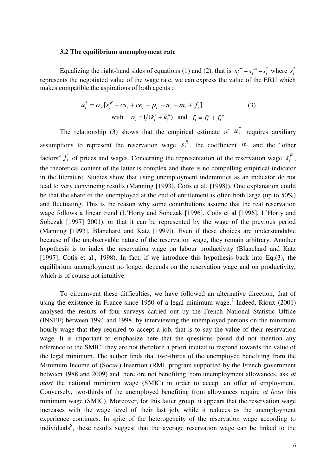### **3.2 The equilibrium unemployment rate**

Equalizing the right-hand sides of equations (1) and (2), that is  $s_t^{ps} = s_t^{ws}$  $s_t^{ws} = s_t^*$  $s_t^*$  where  $s_t^*$ represents the negotiated value of the wage rate, we can express the value of the ERU which makes compatible the aspirations of both agents :

$$
u_t^* = \alpha_t [s_t^R + cs_t + ce_t - p_t - \pi_t + m_t + f_t]
$$
  
\nwith  $\alpha_t = 1/(k_t^s + k_t^p)$  and  $f_t = f_t^s + f_t^p$  (3)

The relationship (3) shows that the empirical estimate of  $u_t^*$  requires auxiliary assumptions to represent the reservation wage  $s_t^R$ , the coefficient  $\alpha_t$  and the "other factors"  $f_t$  of prices and wages. Concerning the representation of the reservation wage  $s_t^R$ , the theoretical content of the latter is complex and there is no compelling empirical indicator in the literature. Studies show that using unemployment indemnities as an indicator do not lead to very convincing results (Manning [1993], Cotis et al. [1998]). One explanation could be that the share of the unemployed at the end of entitlement is often both large (up to 50%) and fluctuating. This is the reason why some contributions assume that the real reservation wage follows a linear trend (L'Horty and Sobczak [1996], Cotis et al [1996], L'Horty and Sobczak [1997] 2001), or that it can be represented by the wage of the previous period (Manning [1993], Blanchard and Katz [1999]). Even if these choices are understandable because of the unobservable nature of the reservation wage, they remain arbitrary. Another hypothesis is to index the reservation wage on labour productivity (Blanchard and Katz [1997], Cotis et al., 1998). In fact, if we introduce this hypothesis back into Eq.(3), the equilibrium unemployment no longer depends on the reservation wage and on productivity, which is of course not intuitive.

To circumvent these difficulties, we have followed an alternative direction, that of using the existence in France since 1950 of a legal minimum wage.<sup>7</sup> Indeed, Rioux  $(2001)$ analysed the results of four surveys carried out by the French National Statistic Office (INSEE) between 1994 and 1998, by interviewing the unemployed persons on the minimum hourly wage that they required to accept a job, that is to say the value of their reservation wage. It is important to emphasize here that the questions posed did not mention any reference to the SMIC: they are not therefore a priori incited to respond towards the value of the legal minimum. The author finds that two-thirds of the unemployed benefiting from the Minimum Income of (Social) Insertion (RMI, program supported by the French government between 1988 and 2009) and therefore not benefiting from unemployment allowances, ask *at most* the national minimum wage (SMIC) in order to accept an offer of employment. Conversely, two-thirds of the unemployed benefiting from allowances require *at least* this minimum wage (SMIC). Moreover, for this latter group, it appears that the reservation wage increases with the wage level of their last job, while it reduces as the unemployment experience continues. In spite of the heterogeneity of the reservation wage according to individuals<sup>8</sup>, these results suggest that the average reservation wage can be linked to the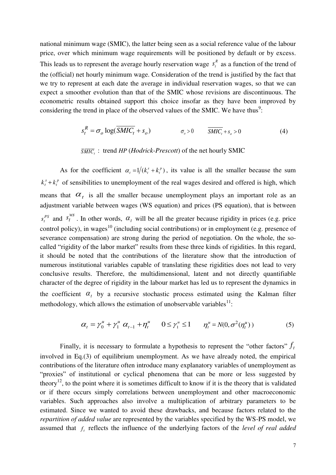national minimum wage (SMIC), the latter being seen as a social reference value of the labour price, over which minimum wage requirements will be positioned by default or by excess. This leads us to represent the average hourly reservation wage  $s_t^R$  as a function of the trend of the (official) net hourly minimum wage. Consideration of the trend is justified by the fact that we try to represent at each date the average in individual reservation wages, so that we can expect a smoother evolution than that of the SMIC whose revisions are discontinuous. The econometric results obtained support this choice insofar as they have been improved by considering the trend in place of the observed values of the SMIC. We have thus<sup>9</sup>:

$$
s_t^R = \sigma_o \log(\overline{SMIC_t} + s_o) \qquad \qquad \sigma_o > 0 \qquad \overline{SMIC_t} + s_o > 0 \tag{4}
$$

 $\overline{S\overline{MIC}}_t$ : trend *HP* (*Hodrick-Prescott*) of the net hourly SMIC

As for the coefficient  $\alpha_t = 1/(k_t^s + k_t^p)$ *t*  $\alpha_t = 1/(k_t^s + k_t^p)$ , its value is all the smaller because the sum  $k_t^s + k_t^p$  of sensibilities to unemployment of the real wages desired and offered is high, which means that  $\alpha_t$  is all the smaller because unemployment plays an important role as an adjustment variable between wages (WS equation) and prices (PS equation), that is between  $s_t^{PS}$  and  $s_t^{WS}$ . In other words,  $\alpha_t$  will be all the greater because rigidity in prices (e.g. price control policy), in wages<sup>10</sup> (including social contributions) or in employment (e.g. presence of severance compensation) are strong during the period of negotiation. On the whole, the socalled "rigidity of the labor market" results from these three kinds of rigidities. In this regard, it should be noted that the contributions of the literature show that the introduction of numerous institutional variables capable of translating these rigidities does not lead to very conclusive results. Therefore, the multidimensional, latent and not directly quantifiable character of the degree of rigidity in the labour market has led us to represent the dynamics in the coefficient  $\alpha_t$  by a recursive stochastic process estimated using the Kalman filter methodology, which allows the estimation of unobservable variables $^{11}$ :

$$
\alpha_{t} = \gamma_{0}^{u} + \gamma_{1}^{u} \alpha_{t-1} + \eta_{t}^{u} \qquad 0 \le \gamma_{1}^{u} \le 1 \qquad \eta_{t}^{u} = N(0, \sigma^{2}(\eta_{t}^{u})) \tag{5}
$$

Finally, it is necessary to formulate a hypothesis to represent the "other factors"  $f_t$ involved in Eq.(3) of equilibrium unemployment. As we have already noted, the empirical contributions of the literature often introduce many explanatory variables of unemployment as "proxies" of institutional or cyclical phenomena that can be more or less suggested by theory<sup>12</sup>, to the point where it is sometimes difficult to know if it is the theory that is validated or if there occurs simply correlations between unemployment and other macroeconomic variables. Such approaches also involve a multiplication of arbitrary parameters to be estimated. Since we wanted to avoid these drawbacks, and because factors related to the *repartition of added value* are represented by the variables specified by the WS-PS model, we assumed that *<sup>t</sup> f* reflects the influence of the underlying factors of the *level of real added*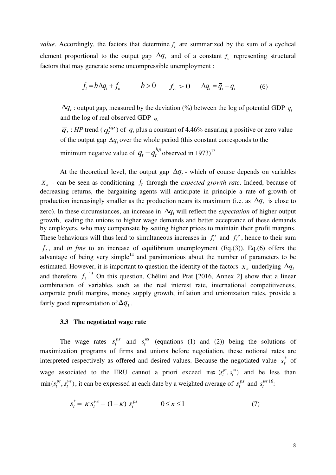*value*. Accordingly, the factors that determine  $f_t$  are summarized by the sum of a cyclical element proportional to the output gap  $\Delta q_t$  and of a constant  $f_o$  representing structural factors that may generate some uncompressible unemployment :

$$
f_t = b\Delta q_t + f_o \qquad b > 0 \qquad f_o > 0 \qquad \Delta q_t = \overline{q}_t - q_t \tag{6}
$$

 $\Delta q_t$ : output gap, measured by the deviation (%) between the log of potential GDP  $\bar{q}_t$ and the log of real observed GDP *q<sup>t</sup>*

 $\overline{q}_t$ : *HP* trend (  $q_t^{hp}$  ) of  $q_t$  plus a constant of 4.46% ensuring a positive or zero value of the output gap  $\Delta q$ , over the whole period (this constant corresponds to the minimum negative value of  $q_t - q_t^{hp}$  observed in 1973)<sup>13</sup>

At the theoretical level, the output gap  $\Delta q_t$  - which of course depends on variables  $X_{it}$  - can be seen as conditioning  $f_t$  through the *expected growth rate*. Indeed, because of decreasing returns, the bargaining agents will anticipate in principle a rate of growth of production increasingly smaller as the production nears its maximum (i.e. as  $\Delta q_t$  is close to zero). In these circumstances, an increase in  $\Delta q$ <sub>*t*</sub> will reflect the *expectation* of higher output growth, leading the unions to higher wage demands and better acceptance of these demands by employers, who may compensate by setting higher prices to maintain their profit margins. These behaviours will thus lead to simultaneous increases in  $f_t^s$  and  $f_t^p$ , hence to their sum  $f_t$ , and *in fine* to an increase of equilibrium unemployment (Eq.(3)). Eq.(6) offers the advantage of being very simple<sup>14</sup> and parsimonious about the number of parameters to be estimated. However, it is important to question the identity of the factors  $X_i$  underlying  $\Delta q_i$ and therefore  $f_t$ <sup>15</sup> On this question, Chélini and Prat [2016, Annex 2] show that a linear combination of variables such as the real interest rate, international competitiveness, corporate profit margins, money supply growth, inflation and unionization rates, provide a fairly good representation of  $\Delta q_t$ .

### **3.3 The negotiated wage rate**

The wage rates  $s_t^{ps}$  and  $s_t^{ws}$  (equations (1) and (2)) being the solutions of maximization programs of firms and unions before negotiation, these notional rates are interpreted respectively as offered and desired values. Because the negotiated value  $s_t^*$  of wage associated to the ERU cannot a priori exceed max  $(s_t^{ps}, s_t^{ws})$ *t ps*  $s_t^{ps}$ ,  $s_t^{ws}$ ) and be less than  $\min(s_t^{ps}, s_t^{ws})$ *t ps*  $s_t^{ps}$ ,  $s_t^{ws}$ ), it can be expressed at each date by a weighted average of  $s_t^{ps}$  and  $s_t^{ws}$ <sup>16</sup>.

$$
s_t^* = \kappa s_t^{ws} + (1 - \kappa) s_t^{ps} \qquad 0 \le \kappa \le 1 \tag{7}
$$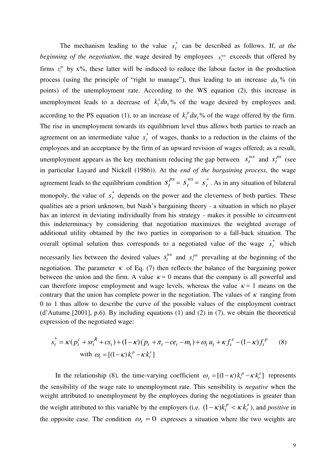The mechanism leading to the value  $s_t^*$  can be described as follows. If, *at the beginning of the negotiation*, the wage desired by employees  $s_t^{\text{ws}}$  exceeds that offered by firms  $s_t^{ps}$  by x%, these latter will be induced to reduce the labour factor in the production process (using the principle of "right to manage"), thus leading to an increase  $du$ , % (in points) of the unemployment rate. According to the WS equation (2), this increase in unemployment leads to a decrease of  $k_i^s du_i$  $k_t^3 du_t$ % of the wage desired by employees and, according to the PS equation (1), to an increase of  $k_t^p du_t$  $k_t^p du_t$ % of the wage offered by the firm. The rise in unemployment towards its equilibrium level thus allows both parties to reach an agreement on an intermediate value  $s_t^*$  of wages, thanks to a reduction in the claims of the employees and an acceptance by the firm of an upward revision of wages offered; as a result, unemployment appears as the key mechanism reducing the gap between  $s_t^{ws}$  and  $s_t^{ps}$  (see in particular Layard and Nickell (1986)). At the *end of the bargaining process*, the wage agreement leads to the equilibrium condition  $S_t^{ps} = S_t^{ws}$  $S_t^{WS} = S_t^*$  $s_t^*$ . As in any situation of bilateral monopoly, the value of  $s_t^*$  depends on the power and the cleverness of both parties. These qualities are a priori unknown, but Nash's bargaining theory - a situation in which no player has an interest in deviating individually from his strategy - makes it possible to circumvent this indeterminacy by considering that negotiation maximizes the weighted average of additional utility obtained by the two parties in comparison to a fall-back situation. The overall optimal solution thus corresponds to a negotiated value of the wage  $s_t^*$  which necessarily lies between the desired values  $s_t^{ws}$  and  $s_t^{ps}$  prevailing at the beginning of the negotiation. The parameter  $\kappa$  of Eq. (7) then reflects the balance of the bargaining power between the union and the firm. A value  $\kappa = 0$  means that the company is all powerful and can therefore impose employment and wage levels, whereas the value  $\kappa = 1$  means on the contrary that the union has complete power in the negotiation. The values of  $\kappa$  ranging from 0 to 1 thus allow to describe the curve of the possible values of the employment contract (d'Autume [2001], p.6). By including equations (1) and (2) in (7), we obtain the theoretical expression of the negotiated wage:

$$
s_t^* = \kappa (p_t^c + sr_t^R + cs_t) + (1 - \kappa)(p_t + \pi_t - ce_t - m_t) + \omega_t u_t + \kappa f_t^s - (1 - \kappa) f_t^P
$$
 (8)  
with  $\omega_t = [(1 - \kappa)k_t^P - \kappa k_t^s]$ 

In the relationship (8), the time-varying coefficient  $\omega_t = [(1 - \kappa) k_t^p - \kappa k_t^s]$ *t*  $\omega_t = [(1 - \kappa) k_t^p - \kappa k_t^s]$  represents the sensibility of the wage rate to unemployment rate. This sensibility is *negative* when the weight attributed to unemployment by the employees during the negotiations is greater than the weight attributed to this variable by the employers (i.e.  $(1 - \kappa)k_t^p < \kappa k_t^s$ *p*  $(1 - \kappa)k_t^p < \kappa k_t^s$ , and *positive* in the opposite case. The condition  $\omega_t = 0$  expresses a situation where the two weights are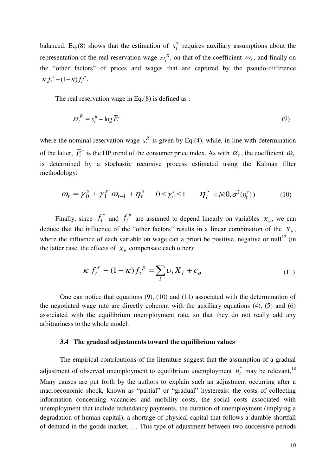balanced. Eq.(8) shows that the estimation of  $s_t^*$  requires auxiliary assumptions about the representation of the real reservation wage  $sr_t^R$ , on that of the coefficient  $\omega_t$ , and finally on the "other factors" of prices and wages that are captured by the pseudo-difference *p t*  $\kappa f_t^s - (1 - \kappa) f_t^p$ .

The real reservation wage in Eq.(8) is defined as :

$$
sr_t^R = s_t^R - \log \overline{P}_t^c \tag{9}
$$

where the nominal reservation wage  $s_t^R$  is given by Eq.(4), while, in line with determination of the latter,  $\overline{P}_t^c$  is the HP trend of the consumer price index. As with  $\alpha_t$ , the coefficient  $\omega_t$ is determined by a stochastic recursive process estimated using the Kalman filter methodology:

$$
\omega_t = \gamma_0^s + \gamma_1^s \ \omega_{t-1} + \eta_t^s \qquad 0 \le \gamma_1^s \le 1 \qquad \eta_t^s = N(0, \sigma^2(\eta_t^s)) \tag{10}
$$

Finally, since  $f_t^s$  and  $f_t^p$  are assumed to depend linearly on variables  $X_i$ , we can deduce that the influence of the "other factors" results in a linear combination of the  $X_i$ , where the influence of each variable on wage can a priori be positive, negative or null<sup>17</sup> (in the latter case, the effects of  $X_i$  compensate each other):

$$
\kappa f_t^s - (1 - \kappa) f_t^p = \sum_i \upsilon_i X_i + c_o \tag{11}
$$

One can notice that equations (9), (10) and (11) associated with the determination of the negotiated wage rate are directly coherent with the auxiliary equations (4), (5) and (6) associated with the equilibrium unemployment rate, so that they do not really add any arbitrariness to the whole model.

#### **3.4 The gradual adjustments toward the equilibrium values**

The empirical contributions of the literature suggest that the assumption of a gradual adjustment of observed unemployment to equilibrium unemployment  $u_t^*$  may be relevant.<sup>18</sup> Many causes are put forth by the authors to explain such an adjustment occurring after a macroeconomic shock, known as "partial" or "gradual" hysteresis: the costs of collecting information concerning vacancies and mobility costs, the social costs associated with unemployment that include redundancy payments, the duration of unemployment (implying a degradation of human capital), a shortage of physical capital that follows a durable shortfall of demand in the goods market, … This type of adjustment between two successive periods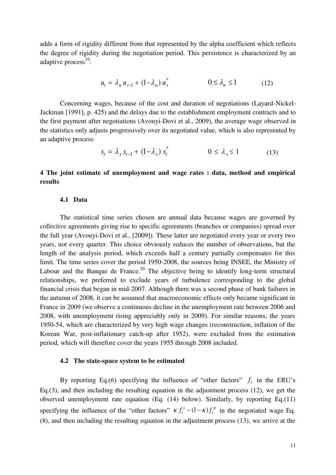adds a form of rigidity different from that represented by the alpha coefficient which reflects the degree of rigidity during the negotiation period. This persistence is characterized by an adaptive process<sup>19</sup>:

$$
u_t = \lambda_u u_{t-1} + (1 - \lambda_u) u_t^* \qquad \qquad 0 \le \lambda_u \le 1 \qquad (12)
$$

Concerning wages, because of the cost and duration of negotiations (Layard-Nickel-Jackman [1991], p. 425) and the delays due to the establishment employment contracts and to the first payment after negotiations (Avouyi-Dovi et al., 2009), the average wage observed in the statistics only adjusts progressively over its negotiated value, which is also represented by an adaptive process:

$$
s_t = \lambda_s s_{t-1} + (1 - \lambda_s) s_t^* \qquad 0 \le \lambda_s \le 1 \qquad (13)
$$

# **4 The joint estimate of unemployment and wage rates : data, method and empirical results**

### **4.1 Data**

The statistical time series chosen are annual data because wages are governed by collective agreements giving rise to specific agreements (branches or companies) spread over the full year (Avouyi-Dovi et al., [2009]). These latter are negotiated every year or every two years, not every quarter. This choice obviously reduces the number of observations, but the length of the analysis period, which exceeds half a century partially compensates for this limit. The time series cover the period 1950-2008, the sources being INSEE, the Ministry of Labour and the Banque de France.<sup>20</sup> The objective being to identify long-term structural relationships, we preferred to exclude years of turbulence corresponding to the global financial crisis that began in mid-2007. Although there was a second phase of bank failures in the autumn of 2008, it can be assumed that macroeconomic effects only became significant in France in 2009 (we observe a continuous decline in the unemployment rate between 2006 and 2008, with unemployment rising appreciably only in 2009). For similar reasons, the years 1950-54, which are characterized by very high wage changes (reconstruction, inflation of the Korean War, post-inflationary catch-up after 1952), were excluded from the estimation period, which will therefore cover the years 1955 through 2008 included.

### **4.2 The state-space system to be estimated**

By reporting Eq.(6) specifying the influence of "other factors"  $f_t$  in the ERU's Eq.(3), and then including the resulting equation in the adjustment process (12), we get the observed unemployment rate equation (Eq. (14) below). Similarly, by reporting Eq.(11) specifying the influence of the "other factors"  $\kappa f_t^s - (1 - \kappa) f_t^p$  $\kappa f_t^s - (1 - \kappa) f_t^p$  in the negotiated wage Eq. (8), and then including the resulting equation in the adjustment process (13), we arrive at the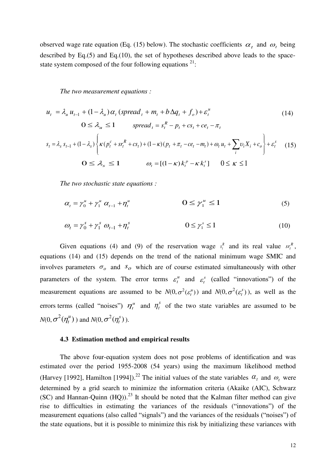observed wage rate equation (Eq. (15) below). The stochastic coefficients  $\alpha_t$  and  $\omega_t$  being described by Eq.(5) and Eq.(10), the set of hypotheses described above leads to the spacestate system composed of the four following equations  $21$ :

*The two measurement equations :* 

$$
u_{t} = \lambda_{u} u_{t-1} + (1 - \lambda_{u}) \alpha_{t} \left(\text{spread}_{t} + m_{t} + b \Delta q_{t} + f_{o}\right) + \varepsilon_{t}^{u}
$$
\n
$$
0 \leq \lambda_{u} \leq 1 \qquad \text{spread}_{t} = s_{t}^{R} - p_{t} + cs_{t} + ce_{t} - \pi_{t}
$$
\n
$$
s_{t} = \lambda_{s} s_{t-1} + (1 - \lambda_{s}) \left\{ \kappa (p_{t}^{c} + sr_{t}^{R} + cs_{t}) + (1 - \kappa)(p_{t} + \pi_{t} - ce_{t} - m_{t}) + \omega_{t} u_{t} + \sum_{i} v_{i} X_{i} + c_{o} \right\} + \varepsilon_{t}^{s} \tag{15}
$$
\n
$$
0 \leq \lambda_{s} \leq 1 \qquad \omega_{t} = [(1 - \kappa) k_{t}^{p} - \kappa k_{t}^{s}] \quad 0 \leq \kappa \leq 1
$$

*The two stochastic state equations :* 

$$
\alpha_{t} = \gamma_{0}^{u} + \gamma_{1}^{u} \alpha_{t-1} + \eta_{t}^{u} \qquad \qquad \mathbf{O} \leq \gamma_{1}^{u} \leq 1 \qquad (5)
$$

$$
\omega_t = \gamma_0^s + \gamma_1^s \ \omega_{t-1} + \eta_t^s \qquad \qquad 0 \le \gamma_1^s \le 1 \tag{10}
$$

Given equations (4) and (9) of the reservation wage  $s_t^R$  and its real value  $sr_t^R$ , equations (14) and (15) depends on the trend of the national minimum wage SMIC and involves parameters  $\sigma$ <sub>o</sub> and  $s$ <sub>o</sub> which are of course estimated simultaneously with other parameters of the system. The error terms  $\varepsilon_t^u$  and  $\varepsilon_t^s$  (called "innovations") of the measurement equations are assumed to be  $N(0, \sigma^2(\varepsilon^n))$  and  $N(0, \sigma^2(\varepsilon^n))$ , as well as the errors terms (called "noises")  $\eta_t^u$  and  $\eta_t^s$  of the two state variables are assumed to be  $N(0, \sigma^2(\eta_t^u))$  and  $N(0, \sigma^2(\eta_t^s))$ .

### **4.3 Estimation method and empirical results**

The above four-equation system does not pose problems of identification and was estimated over the period 1955-2008 (54 years) using the maximum likelihood method (Harvey [1992], Hamilton [1994]).<sup>22</sup> The initial values of the state variables  $\alpha_t$  and  $\omega_t$  were determined by a grid search to minimize the information criteria (Akaike (AIC), Schwarz (SC) and Hannan-Quinn (HQ)).<sup>23</sup> It should be noted that the Kalman filter method can give rise to difficulties in estimating the variances of the residuals ("innovations") of the measurement equations (also called "signals") and the variances of the residuals ("noises") of the state equations, but it is possible to minimize this risk by initializing these variances with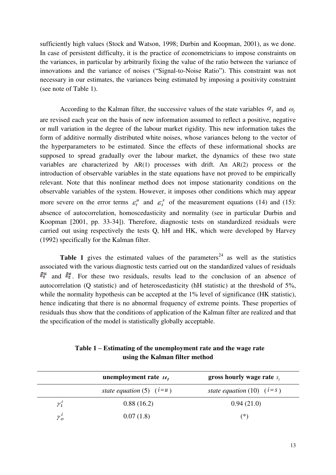sufficiently high values (Stock and Watson, 1998; Durbin and Koopman, 2001), as we done. In case of persistent difficulty, it is the practice of econometricians to impose constraints on the variances, in particular by arbitrarily fixing the value of the ratio between the variance of innovations and the variance of noises ("Signal-to-Noise Ratio"). This constraint was not necessary in our estimates, the variances being estimated by imposing a positivity constraint (see note of Table 1).

According to the Kalman filter, the successive values of the state variables  $\alpha_t$  and  $\omega_t$ are revised each year on the basis of new information assumed to reflect a positive, negative or null variation in the degree of the labour market rigidity. This new information takes the form of additive normally distributed white noises, whose variances belong to the vector of the hyperparameters to be estimated. Since the effects of these informational shocks are supposed to spread gradually over the labour market, the dynamics of these two state variables are characterized by AR(1) processes with drift. An AR(2) process or the introduction of observable variables in the state equations have not proved to be empirically relevant. Note that this nonlinear method does not impose stationarity conditions on the observable variables of the system. However, it imposes other conditions which may appear more severe on the error terms  $\varepsilon_t^u$  and  $\varepsilon_t^s$  of the measurement equations (14) and (15): absence of autocorrelation, homoscedasticity and normality (see in particular Durbin and Koopman [2001, pp. 33-34]). Therefore, diagnostic tests on standardized residuals were carried out using respectively the tests Q, hH and HK, which were developed by Harvey (1992) specifically for the Kalman filter.

**Table 1** gives the estimated values of the parameters<sup>24</sup> as well as the statistics associated with the various diagnostic tests carried out on the standardized values of residuals  $\hat{\epsilon}_t^u$  and  $\hat{\epsilon}_t^s$ . For these two residuals, results lead to the conclusion of an absence of autocorrelation (Q statistic) and of heteroscedasticity (hH statistic) at the threshold of 5%, while the normality hypothesis can be accepted at the 1% level of significance (HK statistic), hence indicating that there is no abnormal frequency of extreme points. These properties of residuals thus show that the conditions of application of the Kalman filter are realized and that the specification of the model is statistically globally acceptable.

| Table 1 – Estimating of the unemployment rate and the wage rate |
|-----------------------------------------------------------------|
| using the Kalman filter method                                  |

|              | unemployment rate $u_t$    | gross hourly wage rate $s_t$ |
|--------------|----------------------------|------------------------------|
|              | state equation (5) $(i=u)$ | state equation (10) $(i=s)$  |
| $\chi_1^i$   | 0.88(16.2)                 | 0.94(21.0)                   |
| $\gamma^i_o$ | 0.07(1.8)                  | (*)                          |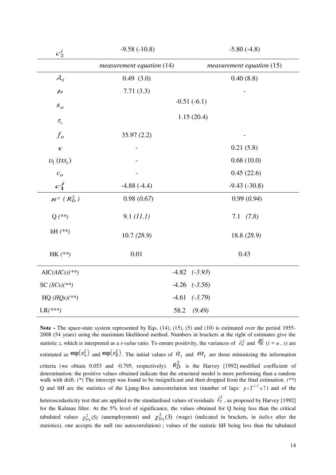| $c_2^i$                               | $-9.58(-10.8)$              | $-5.80(-4.8)$               |
|---------------------------------------|-----------------------------|-----------------------------|
|                                       | $measurement$ equation (14) | $measurement$ equation (15) |
| $\lambda_i$                           | 0.49(3.0)                   | 0.40(8.8)                   |
| $\boldsymbol{b}$                      | 7.71(3.3)                   |                             |
| $S_{O}$                               | $-0.51(-6.1)$               |                             |
| $\sigma_{\scriptscriptstyle{\theta}}$ | 1.15(20.4)                  |                             |
| $f_o$                                 | 35.97(2.2)                  |                             |
| $\pmb{\mathcal{K}}$                   |                             | 0.21(5.8)                   |
| $v_1$ (txs <sub>t</sub> )             |                             | 0.68(10.0)                  |
| c <sub>o</sub>                        |                             | 0.45(22.6)                  |
| $c_1^{\hskip.75pt i}$                 | $-4.88(-4.4)$               | $-9.43(-30.8)$              |
| $R^2$ $(R_D^2)$                       | 0.98(0.67)                  | 0.99(0.94)                  |
| $Q (**)$                              | 9.1 (11.1)                  | $7.1$ $(7.8)$               |
| hH $(**)$                             | 10.7(28.9)                  | 18.8 (28.9)                 |
| $HK$ (**)                             | 0.01                        | 0.43                        |
| $AIC(AICS)(**)$                       |                             | $-4.82$ $(-3.93)$           |
| SC $(SCs)(**)$                        | $-4.26$                     | $(-3.56)$                   |
| $HQ (HQs)(**)$                        | $(-3.79)$<br>$-4.61$        |                             |
| $LR$ <sup>***</sup> )                 | 58.2                        | (9.49)                      |

Note - The space-state system represented by Eqs. (14), (15), (5) and (10) is estimated over the period 1955-2008 (54 years) using the maximum likelihood method. Numbers in brackets at the right of estimates give the statistic *z*, which is interpreted as a *t-value* ratio. To ensure positivity, the variances of  $\hat{\epsilon}_t^i$  and  $\hat{\eta}_t^i$  ( $i = u$ , *s*) are estimated as  $\exp(c_i)$  and  $\exp(c_i)$ . The initial values of  $\alpha_t$  and  $\omega_t$  are those minimizing the information criteria (we obtain 0.053 and -0.795, respectively).  $R_D^2$  is the Harvey [1992] modified coefficient of determination: the positive values obtained indicate that the structural model is more performing than a random walk with drift. (\*) The intercept was found to be insignificant and then dropped from the final estimation. (\*\*) Q and hH are the statistics of the Ljung-Box autocorrelation test (number of lags:  $p = T^{1/2} \approx 7$ ) and of the

heteroscedasticity test that are applied to the standardised values of residuals  $\hat{\epsilon}_t^i$ , as proposed by Harvey [1992] for the Kalman filter. At the 5% level of significance, the values obtained for Q being less than the critical tabulated values  $\chi^2_{5\%}(5)$  (unemployment) and  $\chi^2_{5\%}(3)$  (wage) (indicated in brackets, in *italics* after the statistics), one accepts the null (no autocorrelation) ; values of the statistic hH being less than the tabulated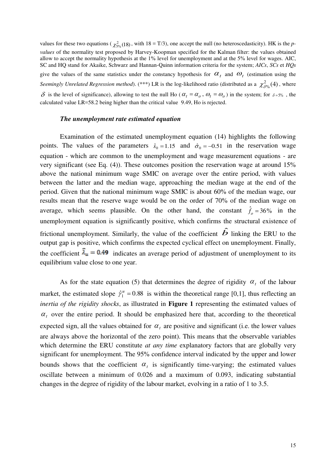values for these two equations ( $\chi^2_{5\%}(18)$ , with  $18 = T/3$ ), one accept the null (no heteroscedasticity). HK is the *pvalues* of the normality test proposed by Harvey-Koopman specified for the Kalman filter: the values obtained allow to accept the normality hypothesis at the 1% level for unemployment and at the 5% level for wages. AIC, SC and HQ stand for Akaike, Schwarz and Hannan-Quinn information criteria for the system; *AICs*, *SCs* et *HQs* give the values of the same statistics under the constancy hypothesis for  $\alpha_t$  and  $\omega_t$  (estimation using the *Seemingly Unrelated Regression method*). (\*\*\*) LR is the log-likelihood ratio (distributed as a  $\chi^2_{\delta\%}(4)$ , where  $\delta$  is the level of significance), allowing to test the null Ho ( $\alpha_t = \alpha_o$ ,  $\omega_t = \omega_o$ ) in the system; for  $\delta = 5\%$ , the calculated value LR=58.2 being higher than the critical value 9.49, Ho is rejected.

#### *The unemployment rate estimated equation*

Examination of the estimated unemployment equation (14) highlights the following points. The values of the parameters  $\hat{s}_0 = 1.15$  and  $\hat{\sigma}_0 = -0.51$  in the reservation wage equation - which are common to the unemployment and wage measurement equations - are very significant (see Eq. (4)). These outcomes position the reservation wage at around 15% above the national minimum wage SMIC on average over the entire period, with values between the latter and the median wage, approaching the median wage at the end of the period. Given that the national minimum wage SMIC is about 60% of the median wage, our results mean that the reserve wage would be on the order of 70% of the median wage on average, which seems plausible. On the other hand, the constant  $\hat{f}_o = 36\%$  in the unemployment equation is significantly positive, which confirms the structural existence of frictional unemployment. Similarly, the value of the coefficient  $\hat{b}$  linking the ERU to the output gap is positive, which confirms the expected cyclical effect on unemployment. Finally, the coefficient  $\hat{\lambda}_u = 0.49$  indicates an average period of adjustment of unemployment to its equilibrium value close to one year.

As for the state equation (5) that determines the degree of rigidity  $\alpha_t$  of the labour market, the estimated slope  $\hat{\gamma}_1^u = 0.88$  is within the theoretical range [0,1], thus reflecting an *inertia of the rigidity shocks*, as illustrated in **Figure 1** representing the estimated values of  $\alpha_t$  over the entire period. It should be emphasized here that, according to the theoretical expected sign, all the values obtained for  $\alpha_t$  are positive and significant (i.e. the lower values are always above the horizontal of the zero point). This means that the observable variables which determine the ERU constitute *at any time* explanatory factors that are globally very significant for unemployment. The 95% confidence interval indicated by the upper and lower bounds shows that the coefficient  $\alpha_t$  is significantly time-varying; the estimated values oscillate between a minimum of 0.026 and a maximum of 0.093, indicating substantial changes in the degree of rigidity of the labour market, evolving in a ratio of 1 to 3.5.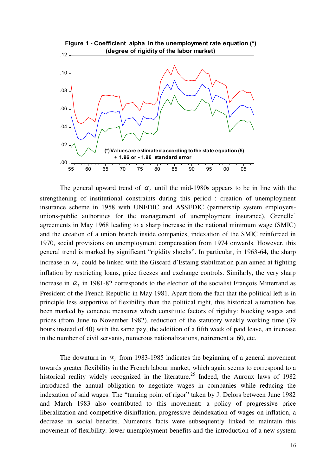

The general upward trend of  $\alpha_t$  until the mid-1980s appears to be in line with the strengthening of institutional constraints during this period : creation of unemployment insurance scheme in 1958 with UNEDIC and ASSEDIC (partnership system employersunions-public authorities for the management of unemployment insurance), Grenelle' agreements in May 1968 leading to a sharp increase in the national minimum wage (SMIC) and the creation of a union branch inside companies, indexation of the SMIC reinforced in 1970, social provisions on unemployment compensation from 1974 onwards. However, this general trend is marked by significant "rigidity shocks". In particular, in 1963-64, the sharp increase in  $\alpha_t$  could be linked with the Giscard d'Estaing stabilization plan aimed at fighting inflation by restricting loans, price freezes and exchange controls. Similarly, the very sharp increase in  $\alpha_t$  in 1981-82 corresponds to the election of the socialist François Mitterrand as President of the French Republic in May 1981. Apart from the fact that the political left is in principle less supportive of flexibility than the political right, this historical alternation has been marked by concrete measures which constitute factors of rigidity: blocking wages and prices (from June to November 1982), reduction of the statutory weekly working time (39 hours instead of 40) with the same pay, the addition of a fifth week of paid leave, an increase in the number of civil servants, numerous nationalizations, retirement at 60, etc.

The downturn in  $\alpha_t$  from 1983-1985 indicates the beginning of a general movement towards greater flexibility in the French labour market, which again seems to correspond to a historical reality widely recognized in the literature.<sup>25</sup> Indeed, the Auroux laws of 1982 introduced the annual obligation to negotiate wages in companies while reducing the indexation of said wages. The "turning point of rigor" taken by J. Delors between June 1982 and March 1983 also contributed to this movement: a policy of progressive price liberalization and competitive disinflation, progressive deindexation of wages on inflation, a decrease in social benefits. Numerous facts were subsequently linked to maintain this movement of flexibility: lower unemployment benefits and the introduction of a new system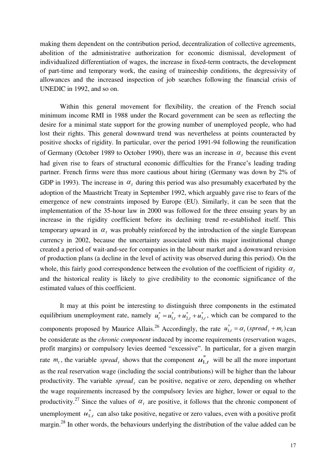making them dependent on the contribution period, decentralization of collective agreements, abolition of the administrative authorization for economic dismissal, development of individualized differentiation of wages, the increase in fixed-term contracts, the development of part-time and temporary work, the easing of traineeship conditions, the degressivity of allowances and the increased inspection of job searches following the financial crisis of UNEDIC in 1992, and so on.

Within this general movement for flexibility, the creation of the French social minimum income RMI in 1988 under the Rocard government can be seen as reflecting the desire for a minimal state support for the growing number of unemployed people, who had lost their rights. This general downward trend was nevertheless at points counteracted by positive shocks of rigidity. In particular, over the period 1991-94 following the reunification of Germany (October 1989 to October 1990), there was an increase in  $\alpha_t$  because this event had given rise to fears of structural economic difficulties for the France's leading trading partner. French firms were thus more cautious about hiring (Germany was down by 2% of GDP in 1993). The increase in  $\alpha_t$  during this period was also presumably exacerbated by the adoption of the Maastricht Treaty in September 1992, which arguably gave rise to fears of the emergence of new constraints imposed by Europe (EU). Similarly, it can be seen that the implementation of the 35-hour law in 2000 was followed for the three ensuing years by an increase in the rigidity coefficient before its declining trend re-established itself. This temporary upward in  $\alpha_t$  was probably reinforced by the introduction of the single European currency in 2002, because the uncertainty associated with this major institutional change created a period of wait-and-see for companies in the labour market and a downward revision of production plans (a decline in the level of activity was observed during this period). On the whole, this fairly good correspondence between the evolution of the coefficient of rigidity  $\alpha_t$ and the historical reality is likely to give credibility to the economic significance of the estimated values of this coefficient.

It may at this point be interesting to distinguish three components in the estimated equilibrium unemployment rate, namely  $u_t^* = u_{1,t}^* + u_{2,t}^* + u_{3,t}^*$ \* 2, \* ,1  $u_t^* = u_{1,t}^* + u_{2,t}^* + u_{3,t}^*$ , which can be compared to the components proposed by Maurice Allais.<sup>26</sup> Accordingly, the rate  $u_{1,t}^* = \alpha_t$  (spread<sub>t</sub> +  $m_t$ ) can be considerate as the *chronic component* induced by income requirements (reservation wages, profit margins) or compulsory levies deemed "excessive". In particular, for a given margin rate  $m_t$ , the variable *spread*, shows that the component  $u_{1,t}^*$  will be all the more important as the real reservation wage (including the social contributions) will be higher than the labour productivity. The variable *spread*, can be positive, negative or zero, depending on whether the wage requirements increased by the compulsory levies are higher, lower or equal to the productivity.<sup>27</sup> Since the values of  $\alpha_t$  are positive, it follows that the chronic component of unemployment  $u_{1,t}^*$  can also take positive, negative or zero values, even with a positive profit margin.<sup>28</sup> In other words, the behaviours underlying the distribution of the value added can be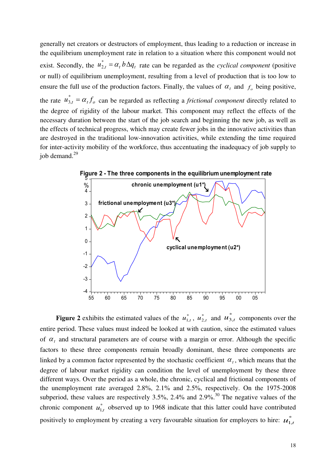generally net creators or destructors of employment, thus leading to a reduction or increase in the equilibrium unemployment rate in relation to a situation where this component would not exist. Secondly, the  $u_{2,t}^* = \alpha_t b \Delta q_t$  rate can be regarded as the *cyclical component* (positive or null) of equilibrium unemployment, resulting from a level of production that is too low to ensure the full use of the production factors. Finally, the values of  $\alpha_t$  and  $f_o$  being positive, the rate  $u_{3,t}^* = \alpha_t f_o$  can be regarded as reflecting a *frictional component* directly related to the degree of rigidity of the labour market. This component may reflect the effects of the necessary duration between the start of the job search and beginning the new job, as well as the effects of technical progress, which may create fewer jobs in the innovative activities than are destroyed in the traditional low-innovation activities, while extending the time required for inter-activity mobility of the workforce, thus accentuating the inadequacy of job supply to job demand. $^{29}$ 



**Figure 2** exhibits the estimated values of the  $u_{1,t}^*$ ,  $u_{2,t}^*$  and  $u_{3,t}^*$  components over the entire period. These values must indeed be looked at with caution, since the estimated values of  $\alpha_t$  and structural parameters are of course with a margin or error. Although the specific factors to these three components remain broadly dominant, these three components are linked by a common factor represented by the stochastic coefficient  $\alpha_t$ , which means that the degree of labour market rigidity can condition the level of unemployment by these three different ways. Over the period as a whole, the chronic, cyclical and frictional components of the unemployment rate averaged 2.8%, 2.1% and 2.5%, respectively. On the 1975-2008 subperiod, these values are respectively  $3.5\%$ ,  $2.4\%$  and  $2.9\%$ .<sup>30</sup> The negative values of the chronic component  $u_{1,t}^*$  observed up to 1968 indicate that this latter could have contributed positively to employment by creating a very favourable situation for employers to hire:  $u_{1,t}^{*}$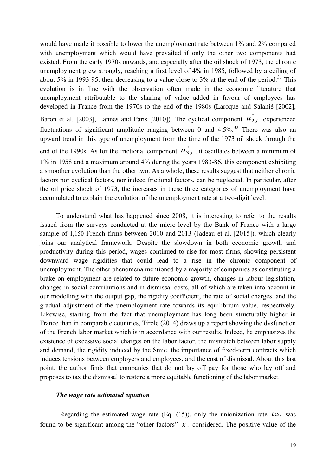would have made it possible to lower the unemployment rate between 1% and 2% compared with unemployment which would have prevailed if only the other two components had existed. From the early 1970s onwards, and especially after the oil shock of 1973, the chronic unemployment grew strongly, reaching a first level of 4% in 1985, followed by a ceiling of about 5% in 1993-95, then decreasing to a value close to 3% at the end of the period.<sup>31</sup> This evolution is in line with the observation often made in the economic literature that unemployment attributable to the sharing of value added in favour of employees has developed in France from the 1970s to the end of the 1980s (Laroque and Salanié [2002], Baron et al. [2003], Lannes and Paris [2010]). The cyclical component  $u_{2,t}^*$  experienced fluctuations of significant amplitude ranging between 0 and  $4.5\%$ <sup>32</sup> There was also an upward trend in this type of unemployment from the time of the 1973 oil shock through the

end of the 1990s. As for the frictional component  $u_{3,t}^*$ , it oscillates between a minimum of 1% in 1958 and a maximum around 4% during the years 1983-86, this component exhibiting a smoother evolution than the other two. As a whole, these results suggest that neither chronic factors nor cyclical factors, nor indeed frictional factors, can be neglected. In particular, after the oil price shock of 1973, the increases in these three categories of unemployment have accumulated to explain the evolution of the unemployment rate at a two-digit level.

To understand what has happened since 2008, it is interesting to refer to the results issued from the surveys conducted at the micro-level by the Bank of France with a large sample of 1,150 French firms between 2010 and 2013 (Jadeau et al. [2015]), which clearly joins our analytical framework. Despite the slowdown in both economic growth and productivity during this period, wages continued to rise for most firms, showing persistent downward wage rigidities that could lead to a rise in the chronic component of unemployment. The other phenomena mentioned by a majority of companies as constituting a brake on employment are related to future economic growth, changes in labour legislation, changes in social contributions and in dismissal costs, all of which are taken into account in our modelling with the output gap, the rigidity coefficient, the rate of social charges, and the gradual adjustment of the unemployment rate towards its equilibrium value, respectively. Likewise, starting from the fact that unemployment has long been structurally higher in France than in comparable countries, Tirole (2014) draws up a report showing the dysfunction of the French labor market which is in accordance with our results. Indeed, he emphasizes the existence of excessive social charges on the labor factor, the mismatch between labor supply and demand, the rigidity induced by the Smic, the importance of fixed-term contracts which induces tensions between employers and employees, and the cost of dismissal. About this last point, the author finds that companies that do not lay off pay for those who lay off and proposes to tax the dismissal to restore a more equitable functioning of the labor market.

### *The wage rate estimated equation*

Regarding the estimated wage rate (Eq.  $(15)$ ), only the unionization rate  $txs_t$  was found to be significant among the "other factors"  $X_i$  considered. The positive value of the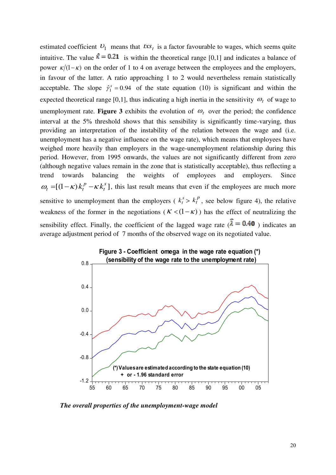estimated coefficient  $U_1$  means that  $txs_t$  is a factor favourable to wages, which seems quite intuitive. The value  $\hat{\kappa} = 0.21$  is within the theoretical range [0,1] and indicates a balance of power  $\kappa/(1-\kappa)$  on the order of 1 to 4 on average between the employees and the employers, in favour of the latter. A ratio approaching 1 to 2 would nevertheless remain statistically acceptable. The slope  $\hat{\gamma}_1^s = 0.94$  of the state equation (10) is significant and within the expected theoretical range [0,1], thus indicating a high inertia in the sensitivity  $\omega_t$  of wage to unemployment rate. **Figure 3** exhibits the evolution of  $\omega_t$  over the period; the confidence interval at the 5% threshold shows that this sensibility is significantly time-varying, thus providing an interpretation of the instability of the relation between the wage and (i.e. unemployment has a negative influence on the wage rate), which means that employees have weighed more heavily than employers in the wage-unemployment relationship during this period. However, from 1995 onwards, the values are not significantly different from zero (although negative values remain in the zone that is statistically acceptable), thus reflecting a trend towards balancing the weights of employees and employers. Since  $[(1-\kappa) k_t^p - \kappa k_t^s]$ *t*  $\omega_t = [(1 - \kappa) k_t^p - \kappa k_t^s]$ , this last result means that even if the employees are much more sensitive to unemployment than the employers ( $k_t^s > k_t^p$  $k_t^P$ , see below figure 4), the relative weakness of the former in the negotiations ( $K < (1 - \kappa)$ ) has the effect of neutralizing the sensibility effect. Finally, the coefficient of the lagged wage rate  $(\lambda = 0.40)$  indicates an average adjustment period of 7 months of the observed wage on its negotiated value.



*The overall properties of the unemployment-wage model*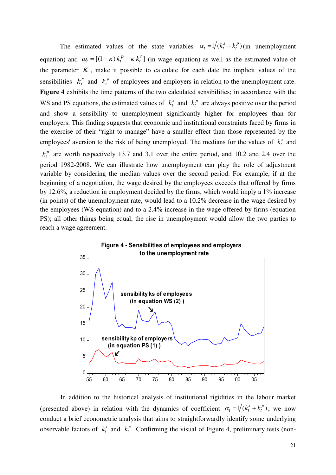The estimated values of the state variables  $\alpha_t = 1/(k_t^s + k_t^p)$ *t*  $\alpha_t = 1/(k_t^s + k_t^p)$  (in unemployment equation) and  $\omega_t = [(1 - \kappa) k_t^p - \kappa k_t^s]$ *t*  $\omega_t = [(1 - \kappa) k_t^p - \kappa k_t^s]$  (in wage equation) as well as the estimated value of the parameter  $K$ , make it possible to calculate for each date the implicit values of the sensibilities  $k_t^s$  and  $k_t^p$  of employees and employers in relation to the unemployment rate. **Figure 4** exhibits the time patterns of the two calculated sensibilities; in accordance with the WS and PS equations, the estimated values of  $k_t^s$  and  $k_t^p$  are always positive over the period and show a sensibility to unemployment significantly higher for employees than for employers. This finding suggests that economic and institutional constraints faced by firms in the exercise of their "right to manage" have a smaller effect than those represented by the employees' aversion to the risk of being unemployed. The medians for the values of  $k_t^s$  and *p*  $k_t^p$  are worth respectively 13.7 and 3.1 over the entire period, and 10.2 and 2.4 over the period 1982-2008. We can illustrate how unemployment can play the role of adjustment variable by considering the median values over the second period. For example, if at the beginning of a negotiation, the wage desired by the employees exceeds that offered by firms by 12.6%, a reduction in employment decided by the firms, which would imply a 1% increase (in points) of the unemployment rate, would lead to a 10.2% decrease in the wage desired by the employees (WS equation) and to a 2.4% increase in the wage offered by firms (equation PS); all other things being equal, the rise in unemployment would allow the two parties to

reach a wage agreement.



 In addition to the historical analysis of institutional rigidities in the labour market (presented above) in relation with the dynamics of coefficient  $\alpha_t = 1/(k_t^s + k_t^p)$ *t*  $\alpha_t = 1/(k_t^s + k_t^p)$ , we now conduct a brief econometric analysis that aims to straightforwardly identify some underlying observable factors of  $k_t^s$  and  $k_t^p$ . Confirming the visual of Figure 4, preliminary tests (non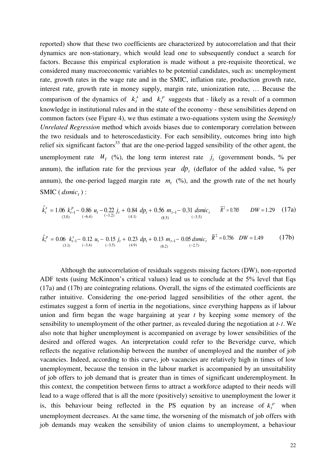reported) show that these two coefficients are characterized by autocorrelation and that their dynamics are non-stationary, which would lead one to subsequently conduct a search for factors. Because this empirical exploration is made without a pre-requisite theoretical, we considered many macroeconomic variables to be potential candidates, such as: unemployment rate, growth rates in the wage rate and in the SMIC, inflation rate, production growth rate, interest rate, growth rate in money supply, margin rate, unionization rate, … Because the comparison of the dynamics of  $k_t^s$  and  $k_t^p$  suggests that - likely as a result of a common knowledge in institutional rules and in the state of the economy - these sensibilities depend on common factors (see Figure 4), we thus estimate a two-equations system using the *Seemingly Unrelated Regression* method which avoids biases due to contemporary correlation between the two residuals and to heteroscedasticity. For each sensibility, outcomes bring into high relief six significant factors<sup>33</sup> that are the one-period lagged sensibility of the other agent, the unemployment rate  $u_t$  (%), the long term interest rate  $j_t$  (government bonds, % per annum), the inflation rate for the previous year  $dp_t$  (deflator of the added value, % per annum), the one-period lagged margin rate  $m<sub>t</sub>$  (%), and the growth rate of the net hourly SMIC ( $dsmic<sub>t</sub>$ ):

$$
\hat{k}_t^s = 1.06 \t k_{t-1}^p - 0.86 \t u_t - 0.22 \t j_t + 0.84 \t d p_t + 0.56 \t m_{t-1} - 0.31 \t dsmic_t \t \overline{R}^2 = 0.785 \t DW = 1.29 \t (17a)
$$
\n
$$
\text{(3.0)} \quad (6.4) \quad (17b)
$$

$$
\hat{k}_t^p = 0.06 \t k_{t-1}^s - 0.12 \t u_t - 0.15 \t j_t + 0.23 \t d p_t + 0.13 \t m_{t-1} - 0.05 \t d s m i c_t \t \overline{R}^2 = 0.756 \t DW = 1.49 \t (17b)
$$
\n
$$
\text{(3.1)} \t (3.1) \t (3.2) \t (4.9) \t (4.9) \t (5.2) \t (6.2) \t (7.1) \t (8.2) \t (9.2) \t (17.1) \t (17.1) \t (17.1) \t (17.1) \t (17.1) \t (17.1) \t (17.1) \t (17.1) \t (17.1) \t (17.1) \t (17.1) \t (17.1) \t (17.1) \t (17.1) \t (17.1) \t (17.1) \t (17.1) \t (17.1) \t (17.1) \t (17.1) \t (17.1) \t (17.1) \t (17.1) \t (17.1) \t (17.1) \t (17.1) \t (17.1) \t (17.1) \t (17.1) \t (17.1) \t (17.1) \t (17.1) \t (17.1) \t (17.1) \t (17.1) \t (17.1) \t (17.1) \t (17.1) \t (17.1) \t (17.1) \t (17.1) \t (17.1) \t (17.1) \t (17.1) \t (17.1) \t (17.1) \t (17.1) \t (17.1) \t (17.1) \t (17.1) \t (17.1) \t (17.1) \t (17.1) \t (17.1) \t (17.1) \t (17.1) \t (17.1) \t (17.1) \t (17.1) \t (17.1) \t (17.1) \t (17.1) \t (17.1) \t (17.1) \t (17.1) \t (17.1) \t (17.1) \t (17.1) \t (17.1) \t (17.1) \t (17.1
$$

Although the autocorrelation of residuals suggests missing factors (DW), non-reported ADF tests (using McKinnon's critical values) lead us to conclude at the 5% level that Eqs (17a) and (17b) are cointegrating relations. Overall, the signs of the estimated coefficients are rather intuitive. Considering the one-period lagged sensibilities of the other agent, the estimates suggest a form of inertia in the negotiations, since everything happens as if labour union and firm began the wage bargaining at year *t* by keeping some memory of the sensibility to unemployment of the other partner, as revealed during the negotiation at *t-1*. We also note that higher unemployment is accompanied on average by lower sensibilities of the desired and offered wages. An interpretation could refer to the Beveridge curve, which reflects the negative relationship between the number of unemployed and the number of job vacancies. Indeed, according to this curve, job vacancies are relatively high in times of low unemployment, because the tension in the labour market is accompanied by an unsuitability of job offers to job demand that is greater than in times of significant underemployment. In this context, the competition between firms to attract a workforce adapted to their needs will lead to a wage offered that is all the more (positively) sensitive to unemployment the lower it is, this behaviour being reflected in the PS equation by an increase of  $k_t^p$  when unemployment decreases. At the same time, the worsening of the mismatch of job offers with job demands may weaken the sensibility of union claims to unemployment, a behaviour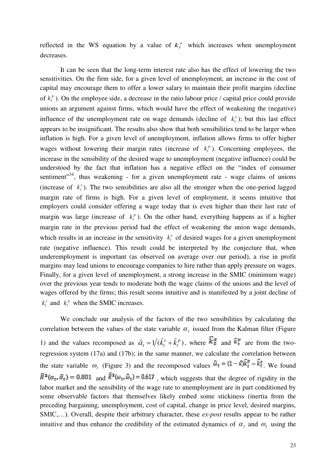reflected in the WS equation by a value of  $k_t^s$  which increases when unemployment decreases.

It can be seen that the long-term interest rate also has the effect of lowering the two sensitivities. On the firm side, for a given level of unemployment, an increase in the cost of capital may encourage them to offer a lower salary to maintain their profit margins (decline of  $k_t^p$ ). On the employee side, a decrease in the ratio labour price / capital price could provide unions an argument against firms, which would have the effect of weakening the (negative) influence of the unemployment rate on wage demands (decline of  $k_t^s$ ); but this last effect appears to be insignificant. The results also show that both sensibilities tend to be larger when inflation is high. For a given level of unemployment, inflation allows firms to offer higher wages without lowering their margin rates (increase of  $k_t^p$ ). Concerning employees, the increase in the sensibility of the desired wage to unemployment (negative influence) could be understood by the fact that inflation has a negative effect on the "index of consumer sentiment"<sup>34</sup>, thus weakening - for a given unemployment rate - wage claims of unions (increase of  $k_t^s$ ). The two sensibilities are also all the stronger when the one-period lagged margin rate of firms is high. For a given level of employment, it seems intuitive that employers could consider offering a wage today that is even higher than their last rate of margin was large (increase of  $k_t^p$ ). On the other hand, everything happens as if a higher margin rate in the previous period had the effect of weakening the union wage demands, which results in an increase in the sensitivity  $k_t^s$  of desired wages for a given unemployment rate (negative influence). This result could be interpreted by the conjecture that, when underemployment is important (as observed on average over our period), a rise in profit margins may lead unions to encourage companies to hire rather than apply pressure on wages. Finally, for a given level of unemployment, a strong increase in the SMIC (minimum wage) over the previous year tends to moderate both the wage claims of the unions and the level of wages offered by the firms; this result seems intuitive and is manifested by a joint decline of  $k_t^s$  and  $k_t^p$  when the SMIC increases.

We conclude our analysis of the factors of the two sensibilities by calculating the correlation between the values of the state variable  $\alpha_t$  issued from the Kalman filter (Figure 1) and the values recomposed as  $\hat{\alpha}_t = 1/(\hat{k}_t^s + \hat{k}_t^p)$ *t*  $\hat{\alpha}_t = 1/(\hat{k}_t^s + \hat{k}_t^p)$ , where  $\hat{k}_t^g$  and  $\hat{k}_t^p$  are from the tworegression system (17a) and (17b); in the same manner, we calculate the correlation between the state variable  $\omega_t$  (Figure 3) and the recomposed values  $\omega_t = (1 - \kappa)\kappa_t - \kappa_t$ . We found  $\overline{R}^2(\alpha_t, \hat{\alpha}_t) = 0.801$  and  $\overline{R}^2(\omega_t, \hat{\omega}_t) = 0.617$ , which suggests that the degree of rigidity in the labor market and the sensibility of the wage rate to unemployment are in part conditioned by some observable factors that themselves likely embed some stickiness (inertia from the preceding bargaining, unemployment, cost of capital, change in price level, desired margins, SMIC,…). Overall, despite their arbitrary character, these *ex-post* results appear to be rather intuitive and thus enhance the credibility of the estimated dynamics of  $\alpha_t$  and  $\omega_t$  using the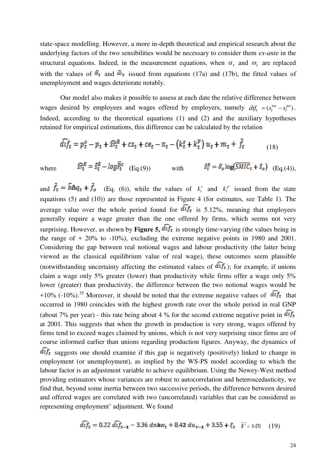state-space modelling. However, a more in-depth theoretical and empirical research about the underlying factors of the two sensibilities would be necessary to consider them *ex-ante* in the structural equations. Indeed, in the measurement equations, when  $\alpha_t$  and  $\omega_t$  are replaced with the values of  $\hat{a}_t$  and  $\hat{a}_t$  issued from equations (17a) and (17b), the fitted values of unemployment and wages deteriorate notably.

Our model also makes it possible to assess at each date the relative difference between wages desired by employees and wages offered by employers, namely  $df_t = (s_t^{ws} - s_t^{ps})$ . Indeed, according to the theoretical equations (1) and (2) and the auxiliary hypotheses retained for empirical estimations, this difference can be calculated by the relation

$$
\widehat{df}_t = p_t^c - p_t + \widehat{sr}_t^R + cs_t + ce_t - \pi_t - (k_t^s + k_t^p) u_t + m_t + \widehat{f}_t
$$
\n(18)

where  $\widehat{sr}_t^R = \widehat{s}_t^R - log \overline{P}_t^c$  (Eq.(9)) with  $\widehat{s}_t^R = \widehat{\sigma}_o log(\overline{SMIC}_t + \widehat{s}_o)$  (Eq.(4)),

and  $f_t = b\Delta q_t + f_o$  (Eq. (6)), while the values of  $k_t^s$  and  $k_t^p$  issued from the state equations (5) and (10)) are those represented in Figure 4 (for estimates, see Table 1). The average value over the whole period found for  $\widehat{dif}_t$  is 5.12%, meaning that employees generally require a wage greater than the one offered by firms, which seems not very surprising. However, as shown by **Figure 5,**  $\widehat{df}_t$  is strongly time-varying (the values being in the range of  $+$  20% to  $-10\%$ , excluding the extreme negative points in 1980 and 2001. Considering the gap between real notional wages and labour productivity (the latter being viewed as the classical equilibrium value of real wage), these outcomes seem plausible (notwithstanding uncertainty affecting the estimated values of  $\widehat{df}_t$ ); for example, if unions claim a wage only 5% greater (lower) than productivity while firms offer a wage only 5% lower (greater) than productivity, the difference between the two notional wages would be +10% (-10%).<sup>35</sup> Moreover, it should be noted that the extreme negative values of  $\widehat{df}_t$  that occurred in 1980 coincides with the highest growth rate over the whole period in real GNP (about 7% per year) - this rate being about 4 % for the second extreme negative point in  $dif_t$ at 2001. This suggests that when the growth in production is very strong, wages offered by firms tend to exceed wages claimed by unions, which is not very surprising since firms are of course informed earlier than unions regarding production figures. Anyway, the dynamics of  $\overline{df}_t$  suggests one should examine if this gap is negatively (positively) linked to change in employment (or unemployment), as implied by the WS-PS model according to which the labour factor is an adjustment variable to achieve equilibrium. Using the Newey-West method providing estimators whose variances are robust to autocorrelation and heteroscedasticity, we find that, beyond some inertia between two successive periods, the difference between desired and offered wages are correlated with two (uncorrelated) variables that can be considered as representing employment' adjustment. We found

$$
\overline{di}f_t = 0.22 \ \overline{di}f_{t-1} - 3.36 \ \overline{dnh}w_t + 8.42 \ \overline{du}_{t-1} + 3.55 + \xi_t \quad \overline{R}^2 = 0.470 \quad (19)
$$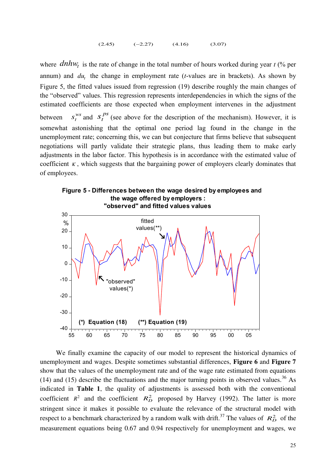$(2.45)$   $(-2.27)$   $(4.16)$   $(3.07)$ 

where  $dnhw_t$  is the rate of change in the total number of hours worked during year *t* (% per annum) and  $du_t$ , the change in employment rate (*t*-values are in brackets). As shown by Figure 5, the fitted values issued from regression (19) describe roughly the main changes of the "observed" values. This regression represents interdependencies in which the signs of the estimated coefficients are those expected when employment intervenes in the adjustment between *ws*  $s_t^{ws}$  and  $s_t^{ps}$  (see above for the description of the mechanism). However, it is somewhat astonishing that the optimal one period lag found in the change in the unemployment rate; concerning this, we can but conjecture that firms believe that subsequent negotiations will partly validate their strategic plans, thus leading them to make early adjustments in the labor factor. This hypothesis is in accordance with the estimated value of coefficient  $\kappa$ , which suggests that the bargaining power of employers clearly dominates that of employees.





We finally examine the capacity of our model to represent the historical dynamics of unemployment and wages. Despite sometimes substantial differences, **Figure 6** and **Figure 7** show that the values of the unemployment rate and of the wage rate estimated from equations (14) and (15) describe the fluctuations and the major turning points in observed values.<sup>36</sup> As indicated in **Table 1**, the quality of adjustments is assessed both with the conventional coefficient  $R^2$  and the coefficient  $R_D^2$  proposed by Harvey (1992). The latter is more stringent since it makes it possible to evaluate the relevance of the structural model with respect to a benchmark characterized by a random walk with drift.<sup>37</sup> The values of  $R_D^2$  of the measurement equations being 0.67 and 0.94 respectively for unemployment and wages, we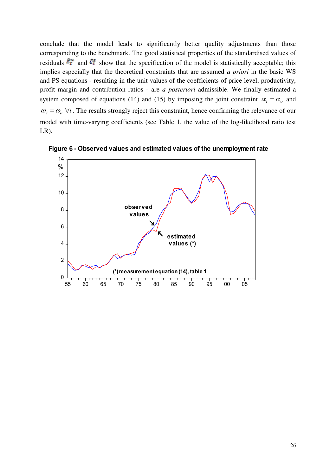conclude that the model leads to significantly better quality adjustments than those corresponding to the benchmark. The good statistical properties of the standardised values of residuals  $\hat{\epsilon}_t^u$  and  $\hat{\epsilon}_t^s$  show that the specification of the model is statistically acceptable; this implies especially that the theoretical constraints that are assumed *a priori* in the basic WS and PS equations - resulting in the unit values of the coefficients of price level, productivity, profit margin and contribution ratios - are *a posteriori* admissible. We finally estimated a system composed of equations (14) and (15) by imposing the joint constraint  $\alpha_t = \alpha_o$  and  $\omega_t = \omega_0 \ \forall t$ . The results strongly reject this constraint, hence confirming the relevance of our model with time-varying coefficients (see Table 1, the value of the log-likelihood ratio test LR).



**Figure 6 - Observed values and estimated values of the unemployment rate**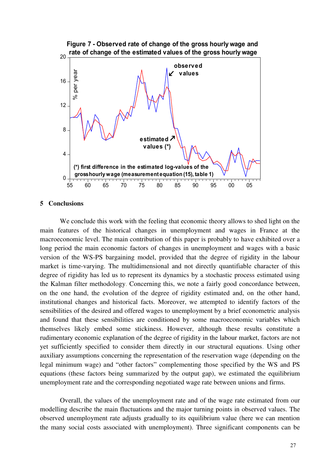

# **5 Conclusions**

We conclude this work with the feeling that economic theory allows to shed light on the main features of the historical changes in unemployment and wages in France at the macroeconomic level. The main contribution of this paper is probably to have exhibited over a long period the main economic factors of changes in unemployment and wages with a basic version of the WS-PS bargaining model, provided that the degree of rigidity in the labour market is time-varying. The multidimensional and not directly quantifiable character of this degree of rigidity has led us to represent its dynamics by a stochastic process estimated using the Kalman filter methodology. Concerning this, we note a fairly good concordance between, on the one hand, the evolution of the degree of rigidity estimated and, on the other hand, institutional changes and historical facts. Moreover, we attempted to identify factors of the sensibilities of the desired and offered wages to unemployment by a brief econometric analysis and found that these sensibilities are conditioned by some macroeconomic variables which themselves likely embed some stickiness. However, although these results constitute a rudimentary economic explanation of the degree of rigidity in the labour market, factors are not yet sufficiently specified to consider them directly in our structural equations. Using other auxiliary assumptions concerning the representation of the reservation wage (depending on the legal minimum wage) and "other factors" complementing those specified by the WS and PS equations (these factors being summarized by the output gap), we estimated the equilibrium unemployment rate and the corresponding negotiated wage rate between unions and firms.

Overall, the values of the unemployment rate and of the wage rate estimated from our modelling describe the main fluctuations and the major turning points in observed values. The observed unemployment rate adjusts gradually to its equilibrium value (here we can mention the many social costs associated with unemployment). Three significant components can be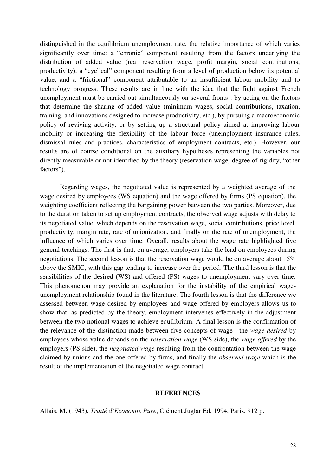distinguished in the equilibrium unemployment rate, the relative importance of which varies significantly over time: a "chronic" component resulting from the factors underlying the distribution of added value (real reservation wage, profit margin, social contributions, productivity), a "cyclical" component resulting from a level of production below its potential value, and a "frictional" component attributable to an insufficient labour mobility and to technology progress. These results are in line with the idea that the fight against French unemployment must be carried out simultaneously on several fronts : by acting on the factors that determine the sharing of added value (minimum wages, social contributions, taxation, training, and innovations designed to increase productivity, etc.), by pursuing a macroeconomic policy of reviving activity, or by setting up a structural policy aimed at improving labour mobility or increasing the flexibility of the labour force (unemployment insurance rules, dismissal rules and practices, characteristics of employment contracts, etc.). However, our results are of course conditional on the auxiliary hypotheses representing the variables not directly measurable or not identified by the theory (reservation wage, degree of rigidity, "other factors").

Regarding wages, the negotiated value is represented by a weighted average of the wage desired by employees (WS equation) and the wage offered by firms (PS equation), the weighting coefficient reflecting the bargaining power between the two parties. Moreover, due to the duration taken to set up employment contracts, the observed wage adjusts with delay to its negotiated value, which depends on the reservation wage, social contributions, price level, productivity, margin rate, rate of unionization, and finally on the rate of unemployment, the influence of which varies over time. Overall, results about the wage rate highlighted five general teachings. The first is that, on average, employers take the lead on employees during negotiations. The second lesson is that the reservation wage would be on average about 15% above the SMIC, with this gap tending to increase over the period. The third lesson is that the sensibilities of the desired (WS) and offered (PS) wages to unemployment vary over time. This phenomenon may provide an explanation for the instability of the empirical wageunemployment relationship found in the literature. The fourth lesson is that the difference we assessed between wage desired by employees and wage offered by employers allows us to show that, as predicted by the theory, employment intervenes effectively in the adjustment between the two notional wages to achieve equilibrium. A final lesson is the confirmation of the relevance of the distinction made between five concepts of wage : the *wage desired* by employees whose value depends on the *reservation wage* (WS side), the *wage offered* by the employers (PS side), the *negotiated wage* resulting from the confrontation between the wage claimed by unions and the one offered by firms, and finally the *observed wage* which is the result of the implementation of the negotiated wage contract.

### **REFERENCES**

Allais, M. (1943), *Traité d'Economie Pure*, Clément Juglar Ed, 1994, Paris, 912 p.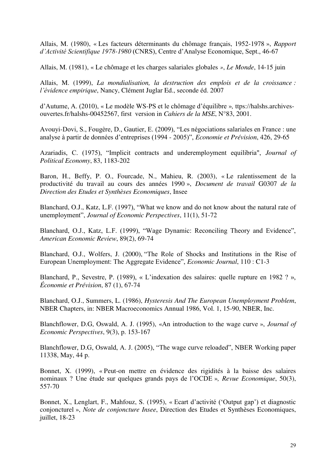Allais, M. (1980), « Les facteurs déterminants du chômage français, 1952-1978 », *Rapport d'Activité Scientifique 1978-1980* (CNRS), Centre d'Analyse Economique, Sept., 46-67

Allais, M. (1981), « Le chômage et les charges salariales globales *»*, *Le Monde*, 14-15 juin

Allais, M. (1999), *La mondialisation, la destruction des emplois et de la croissance : l'évidence empirique*, Nancy, Clément Juglar Ed., seconde éd. 2007

d'Autume, A. (2010), « Le modèle WS-PS et le chômage d'équilibre »*,* ttps://halshs.archivesouvertes.fr/halshs-00452567, first version in *Cahiers de la MSE*, N°83, 2001.

Avouyi-Dovi, S., Fougère, D., Gautier, E. (2009), "Les négociations salariales en France : une analyse à partir de données d'entreprises (1994 - 2005)", *Economie et Prévision*, 426, 29-65

Azariadis, C. (1975), "Implicit contracts and underemployment equilibria", *Journal of Political Economy*, 83, 1183-202

Baron, H., Beffy, P. O., Fourcade, N., Mahieu, R. (2003), « Le ralentissement de la productivité du travail au cours des années 1990 », *Document de travail* G0307 *de la Direction des Etudes et Synthèses Economiques*, Insee

Blanchard, O.J., Katz, L.F. (1997), "What we know and do not know about the natural rate of unemployment", *Journal of Economic Perspectives*, 11(1), 51-72

Blanchard, O.J., Katz, L.F. (1999), "Wage Dynamic: Reconciling Theory and Evidence", *American Economic Review*, 89(2), 69-74

Blanchard, O.J., Wolfers, J. (2000), "The Role of Shocks and Institutions in the Rise of European Unemployment: The Aggregate Evidence", *Economic Journal*, 110 : C1-3

Blanchard, P., Sevestre, P. (1989), « L'indexation des salaires: quelle rupture en 1982 ? », *Économie et Prévision*, 87 (1), 67-74

Blanchard, O.J., Summers, L. (1986), *Hysteresis And The European Unemployment Problem*, NBER Chapters, in: NBER Macroeconomics Annual 1986, Vol. 1, 15-90, NBER, Inc.

Blanchflower, D.G, Oswald, A. J. (1995), «An introduction to the wage curve », *Journal of Economic Perspectives*, 9(3), p. 153-167

Blanchflower, D.G, Oswald, A. J. (2005), "The wage curve reloaded", NBER Working paper 11338, May, 44 p.

Bonnet, X. (1999), « Peut-on mettre en évidence des rigidités à la baisse des salaires nominaux ? Une étude sur quelques grands pays de l'OCDE »*, Revue Economique*, 50(3), 557-70

Bonnet, X., Lenglart, F., Mahfouz, S. (1995), « Ecart d'activité ('Output gap') et diagnostic conjoncturel », *Note de conjoncture Insee*, Direction des Etudes et Synthèses Economiques, juillet, 18-23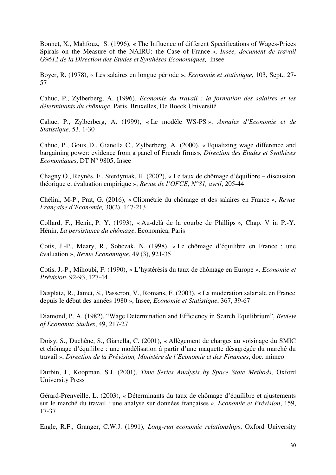Bonnet, X., Mahfouz, S. (1996), « The Influence of different Specifications of Wages-Prices Spirals on the Measure of the NAIRU: the Case of France », *Insee, document de travail G9612 de la Direction des Etudes et Synthèses Economiques,* Insee

Boyer, R. (1978), « Les salaires en longue période », *Economie et statistique*, 103, Sept., 27- 57

Cahuc, P., Zylberberg, A. (1996), *Economie du travail : la formation des salaires et les déterminants du chômage*, Paris, Bruxelles, De Boeck Université

Cahuc, P., Zylberberg, A. (1999), « Le modèle WS-PS », *Annales d'Economie et de Statistique*, 53, 1-30

Cahuc, P., Goux D., Gianella C., Zylberberg, A. (2000), « Equalizing wage difference and bargaining power: evidence from a panel of French firms», *Direction des Etudes et Synthèses Economiques*, DT N° 9805, Insee

Chagny O., Reynès, F., Sterdyniak, H. (2002), « Le taux de chômage d'équilibre – discussion théorique et évaluation empirique », *Revue de l'OFCE, N°81, avril*, 205-44

Chélini, M-P., Prat, G. (2016), « Cliométrie du chômage et des salaires en France », *Revue Française d'Economie,* 30(2), 147-213

Collard, F., Henin, P. Y. (1993), « Au-delà de la courbe de Phillips », Chap. V in P.-Y. Hénin, *La persistance du chômage*, Economica, Paris

Cotis, J.-P., Meary, R., Sobczak, N. (1998), « Le chômage d'équilibre en France : une évaluation », *Revue Economique*, 49 (3), 921-35

Cotis, J.-P., Mihoubi, F. (1990), « L'hystérésis du taux de chômage en Europe », *Economie et Prévision*, 92-93, 127-44

Desplatz, R., Jamet, S., Passeron, V., Romans, F. (2003), « La modération salariale en France depuis le début des années 1980 », Insee, *Economie et Statistique*, 367, 39-67

Diamond, P. A. (1982), "Wage Determination and Efficiency in Search Equilibrium", *Review of Economic Studies*, 49, 217-27

Doisy, S., Duchêne, S., Gianella, C. (2001), « Allègement de charges au voisinage du SMIC et chômage d'équilibre : une modélisation à partir d'une maquette désagrégée du marché du travail », *Direction de la Prévision, Ministère de l'Economie et des Finances*, doc. mimeo

Durbin, J., Koopman, S.J. (2001), *Time Series Analysis by Space State Methods,* Oxford University Press

Gérard-Prenveille, L. (2003), « Déterminants du taux de chômage d'équilibre et ajustements sur le marché du travail : une analyse sur données françaises », *Economie et Prévision*, 159, 17-37

Engle, R.F., Granger, C.W.J. (1991), *Long-run economic relationships*, Oxford University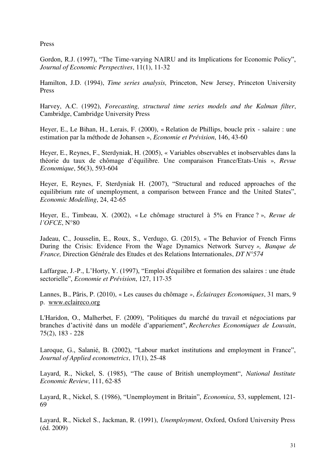Press

Gordon, R.J. (1997), "The Time-varying NAIRU and its Implications for Economic Policy", *Journal of Economic Perspectives*, 11(1), 11-32

Hamilton, J.D. (1994), *Time series analysis,* Princeton, New Jersey, Princeton University Press

Harvey, A.C. (1992), *Forecasting, structural time series models and the Kalman filter*, Cambridge, Cambridge University Press

Heyer, E., Le Bihan, H., Lerais, F. (2000), « Relation de Phillips, boucle prix - salaire : une estimation par la méthode de Johansen », *Economie et Prévision*, 146, 43-60

Heyer, E., Reynes, F., Sterdyniak, H. (2005), « Variables observables et inobservables dans la théorie du taux de chômage d'équilibre. Une comparaison France/Etats-Unis », *Revue Economique*, 56(3), 593-604

Heyer, E, Reynes, F, Sterdyniak H. (2007), "Structural and reduced approaches of the equilibrium rate of unemployment, a comparison between France and the United States", *Economic Modelling*, 24, 42-65

Heyer, E., Timbeau, X. (2002), « Le chômage structurel à 5% en France ? », *Revue de l'OFCE*, N°80

Jadeau, C., Jousselin, E., Roux, S., Verdugo, G. (2015), « The Behavior of French Firms During the Crisis: Evidence From the Wage Dynamics Network Survey *», Banque de France,* Direction Générale des Etudes et des Relations Internationales, *DT N°574*

Laffargue, J.-P., L'Horty, Y. (1997), "Emploi d'équilibre et formation des salaires : une étude sectorielle", *Economie et Prévision*, 127, 117-35

Lannes, B., Pâris, P. (2010), « Les causes du chômage *»*, *Éclairages Economiques*, 31 mars, 9 p. [www.eclaireco.org](http://www.eclaireco.org/)

L'Haridon, O., Malherbet, F. (2009), "Politiques du marché du travail et négociations par branches d'activité dans un modèle d'appariement", *Recherches Economiques de Louvain*, 75(2), 183 - 228

Laroque, G., Salanié, B. (2002), "Labour market institutions and employment in France", *Journal of Applied econometrics*, 17(1), 25-48

Layard, R., Nickel, S. (1985), "The cause of British unemployment", *National Institute Economic Review*, 111, 62-85

Layard, R., Nickel, S. (1986), "Unemployment in Britain", *Economica*, 53, supplement, 121- 69

Layard, R., Nickel S., Jackman, R. (1991), *Unemployment*, Oxford, Oxford University Press (éd. 2009)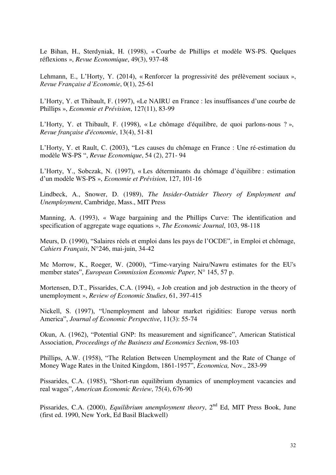Le Bihan, H., Sterdyniak, H. (1998), « Courbe de Phillips et modèle WS-PS. Quelques réflexions », *Revue Economique*, 49(3), 937-48

Lehmann, E., L'Horty, Y. (2014), « Renforcer la progressivité des prélèvement sociaux », *Revue Française d'Economie*, 0(1), 25-61

L'Horty, Y. et Thibault, F. (1997), «Le NAIRU en France : les insuffisances d'une courbe de Phillips », *Economie et Prévision*, 127(11), 83-99

L'Horty, Y. et Thibault, F. (1998), « Le chômage d'équilibre, de quoi parlons-nous ? », *Revue française d'économie*, 13(4), 51-81

L'Horty, Y. et Rault, C. (2003), "Les causes du chômage en France : Une ré-estimation du modèle WS-PS ", *Revue Economique*, 54 (2), 271- 94

L'Horty, Y., Sobczak, N. (1997), « Les déterminants du chômage d'équilibre : estimation d'un modèle WS-PS », *Economie et Prévision*, 127, 101-16

Lindbeck, A., Snower, D. (1989), *The Insider-Outsider Theory of Employment and Unemployment*, Cambridge, Mass., MIT Press

Manning, A. (1993), « Wage bargaining and the Phillips Curve: The identification and specification of aggregate wage equations », *The Economic Journal*, 103, 98-118

Meurs, D. (1990), "Salaires réels et emploi dans les pays de l'OCDE", in Emploi et chômage, *Cahiers Français*, N°246, mai-juin, 34-42

Mc Morrow, K., Roeger, W. (2000), "Time-varying Nairu/Nawru estimates for the EU's member states", *European Commission Economic Paper,* N° 145, 57 p.

Mortensen, D.T., Pissarides, C.A. (1994), « Job creation and job destruction in the theory of unemployment », *Review of Economic Studies*, 61, 397-415

Nickell, S. (1997), "Unemployment and labour market rigidities: Europe versus north America", *Journal of Economic Perspective*, 11(3): 55-74

Okun, A. (1962), "Potential GNP: Its measurement and significance", American Statistical Association, *Proceedings of the Business and Economics Section*, 98-103

Phillips, A.W. (1958), "The Relation Between Unemployment and the Rate of Change of Money Wage Rates in the United Kingdom, 1861-1957", *Economica,* Nov., 283-99

Pissarides, C.A. (1985), "Short-run equilibrium dynamics of unemployment vacancies and real wages", *American Economic Review*, 75(4), 676-90

Pissarides, C.A. (2000), *Equilibrium unemployment theory*, 2<sup>nd</sup> Ed, MIT Press Book, June (first ed. 1990, New York, Ed Basil Blackwell)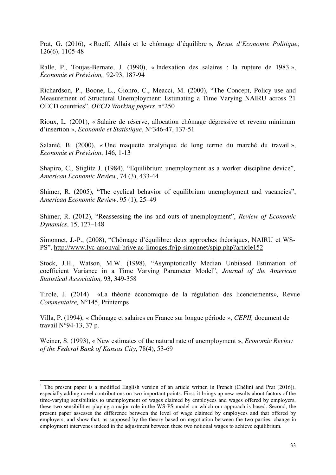Prat, G. (2016), « Rueff, Allais et le chômage d'équilibre », *Revue d'Economie Politique*, 126(6), 1105-48

Ralle, P., Toujas-Bernate, J. (1990), « Indexation des salaires : la rupture de 1983 », *[Économie et Prévision,](http://www.persee.fr/web/revues/home/prescript/revue/ecop)* 92-93, 187-94

Richardson, P., Boone, L., Gionro, C., Meacci, M. (2000), "The Concept, Policy use and Measurement of Structural Unemployment: Estimating a Time Varying NAIRU across 21 OECD countries", *OECD Working papers*, n°250

Rioux, L. (2001), « Salaire de réserve, allocation chômage dégressive et revenu minimum d'insertion », *Economie et Statistique*, N°346-47, 137-51

Salanié, B. (2000), « Une maquette analytique de long terme du marché du travail », *Economie et Prévision*, 146, 1-13

Shapiro, C., Stiglitz J. (1984), "Equilibrium unemployment as a worker discipline device", *American Economic Review*, 74 (3), 433-44

Shimer, R. (2005), "The cyclical behavior of equilibrium unemployment and vacancies", *American Economic Review*, 95 (1), 25–49

Shimer, R. (2012), "Reassessing the ins and outs of unemployment", *Review of Economic Dynamics*, 15, 127–148

Simonnet, J.-P., (2008), "Chômage d'équilibre: deux approches théoriques, NAIRU et WS-PS",<http://www.lyc-arsonval-brive.ac-limoges.fr/jp-simonnet/spip.php?article152>

Stock, J.H., Watson, M.W. (1998), "Asymptotically Median Unbiased Estimation of coefficient Variance in a Time Varying Parameter Model", *Journal of the American Statistical Association,* 93, 349-358

Tirole, J. (2014) «La théorie économique de la régulation des licenciements*»,* Revue *Commentaire,* N°145, Printemps

Villa, P. (1994), « Chômage et salaires en France sur longue période », *CEPII,* document de travail N°94-13, 37 p.

Weiner, S. (1993), « New estimates of the natural rate of unemployment », *Economic Review of the Federal Bank of Kansas City*, 78(4), 53-69

 $\overline{a}$ 

<sup>&</sup>lt;sup>1</sup> The present paper is a modified English version of an article written in French (Chélini and Prat [2016]), especially adding novel contributions on two important points. First, it brings up new results about factors of the time-varying sensibilities to unemployment of wages claimed by employees and wages offered by employers, these two sensibilities playing a major role in the WS-PS model on which our approach is based. Second, the present paper assesses the difference between the level of wage claimed by employees and that offered by employers, and show that, as supposed by the theory based on negotiation between the two parties, change in employment intervenes indeed in the adjustment between these two notional wages to achieve equilibrium.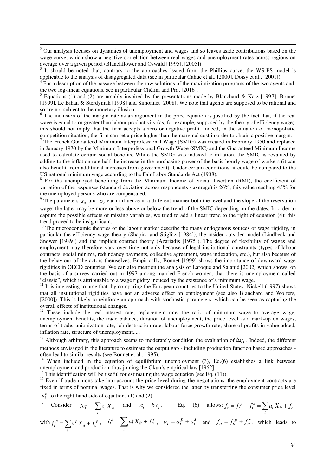<sup>2</sup> Our analysis focuses on dynamics of unemployment and wages and so leaves aside contributions based on the wage curve, which show a negative correlation between real wages and unemployment rates across regions on average over a given period (Blanchflower and Oswald [1995], [2005]).

3 It should be noted that, contrary to the approaches issued from the Phillips curve, the WS-PS model is applicable to the analysis of disaggregated data (see in particular Cahuc et al., [2000], Doisy et al., [2001]).

<sup>4</sup> For a description of the passage between the raw solutions of the maximization programs of the two agents and the two log-linear equations, see in particular Chélini and Prat [2016].

<sup>5</sup> Equations (1) and (2) are notably inspired by the presentations made by Blanchard & Katz [1997], Bonnet [1999], Le Bihan & Sterdyniak [1998] and Simonnet [2008]. We note that agents are supposed to be rational and so are not subject to the monetary illusion.

<sup>6</sup> The inclusion of the margin rate as an argument in the price equation is justified by the fact that, if the real wage is equal to or greater than labour productivity (as, for example, supposed by the theory of efficiency wage), this should not imply that the firm accepts a zero or negative profit. Indeed, in the situation of monopolistic competition situation, the firm can set a price higher than the marginal cost in order to obtain a positive margin.

 $7$  The French Guaranteed Minimum Interprofessional Wage (SMIG) was created in February 1950 and replaced in January 1970 by the Minimum Interprofessional Growth Wage (SMIC) and the Guaranteed Minimum Income used to calculate certain social benefits. While the SMIG was indexed to inflation, the SMIC is revalued by adding to the inflation rate half the increase in the purchasing power of the basic hourly wage of workers (it can also benefit from additional increases from government). Under certain conditions, it could be compared to the US national minimum wage according to the Fair Labor Standards Act (1938).

<sup>8</sup> For the unemployed benefiting from the Minimum Income of Social Insertion (RMI), the coefficient of variation of the responses (standard deviation across respondents / average) is 26%, this value reaching 45% for the unemployed persons who are compensated.

<sup>9</sup> The parameters  $s_o$  and  $\sigma_o$  each influence in a different manner both the level and the slope of the reservation wage; the latter may be more or less above or below the trend of the SMIC depending on the dates. In order to capture the possible effects of missing variables, we tried to add a linear trend to the right of equation (4): this trend proved to be insignificant.

 $10$  The microeconomic theories of the labour market describe the many endogenous sources of wage rigidity, in particular the efficiency wage theory (Shapiro and Stiglitz [1984]), the insider-outsider model (Lindbeck and Snower [1989]) and the implicit contract theory (Azariadis [1975]). The degree of flexibility of wages and employment may therefore vary over time not only because of legal institutional constraints (types of labour contracts, social minima, redundancy payments, collective agreement, wage indexation, etc.), but also because of the behaviour of the actors themselves. Empirically, Bonnet [1999] shows the importance of downward wage rigidities in OECD countries. We can also mention the analysis of Laroque and Salanié [2002] which shows, on the basis of a survey carried out in 1997 among married French women, that there is unemployment called "classic", which is attributable to a wage rigidity induced by the existence of a minimum wage.

 $11$  It is interesting to note that, by comparing the European countries to the United States, Nickell (1997) shows that all institutional rigidities have not an adverse effect on employment (see also Blanchard and Wolfers, [2000]). This is likely to reinforce an approach with stochastic parameters, which can be seen as capturing the overall effects of institutional changes.

 $12$  These include the real interest rate, replacement rate, the ratio of minimum wage to average wage, unemployment benefits, the trade balance, duration of unemployment, the price level as a mark-up on wages, terms of trade, unionization rate, job destruction rate, labour force growth rate, share of profits in value added, inflation rate, structure of unemployment,....

<sup>13</sup> Although arbitrary, this approach seems to moderately condition the evaluation of  $\Delta q_t$ . Indeed, the different methods envisaged in the literature to estimate the output gap - including production function based approaches often lead to similar results (see Bonnet et al., 1995).

<sup>14</sup> When included in the equation of equilibrium unemployment (3), Eq.(6) establishes a link between unemployment and production, thus joining the Okun's empirical law [1962].

<sup>15</sup> This identification will be useful for estimating the wage equation (see Eq.  $(11)$ ).

<sup>16</sup> Even if trade unions take into account the price level during the negotiations, the employment contracts are fixed in terms of nominal wages. That is why we considered the latter by transferring the consumer price level

 $p_t^c$  to the right-hand side of equations (1) and (2).

<sup>17</sup> Consider  $\Delta q_t = \sum_i$  $q_t = \sum_i c_i X_{it}$  and  $a_i = b c_i$ . Eq. (6) allows:  $f_t = f_t^p + f_t^s = \sum_i a_i X_{it} +$  $f_t = f_t^p + f_t^s = \sum a_i X_{it} + f_o$ 

with 
$$
f_t^p = \sum_i a_i^p X_{it} + f_o^p
$$
,  $f_t^s = \sum_i a_i^s X_{it} + f_o^s$ ,  $a_i = a_i^p + a_i^s$  and  $f_o = f_o^p + f_o^s$ , which leads to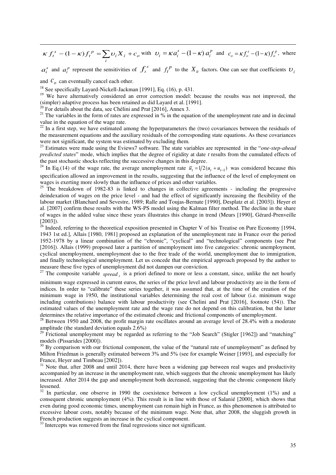$$
\kappa f_t^s - (1 - \kappa) f_t^p = \sum_i \upsilon_i X_i + c_o \text{ with } \upsilon_i = \kappa a_i^s - (1 - \kappa) a_i^p \text{ and } c_o = \kappa f_o^s - (1 - \kappa) f_o^p, \text{ where}
$$

 $a_i^s$  and  $a_i^p$  represent the sensitivities of  $f_i^s$  and  $f_i^p$  to the  $X_i$  factors. One can see that coefficients  $v_i$ 

and  $C$ <sub>o</sub> can eventually cancel each other.

-

<sup>18</sup> See specifically Layard-Nickell-Jackman [1991], Eq. (16), p. 431.

<sup>19</sup> We have alternatively considered an error correction model: because the results was not improved, the (simpler) adaptive process has been retained as did Layard et al. [1991].

 $20$  For details about the data, see Chélini and Prat [2016], Annex 3.

<sup>21</sup> The variables in the form of rates are expressed in  $\%$  in the equation of the unemployment rate and in decimal value in the equation of the wage rate.

<sup>22</sup> In a first step, we have estimated among the hyperparameters the (two) covariances between the residuals of the measurement equations and the auxiliary residuals of the corresponding state equations. As these covariances were not significant, the system was estimated by excluding them.

<sup>23</sup> Estimates were made using the Eviews7 software. The state variables are represented in the "*one-step-ahead predicted states*" mode, which implies that the degree of rigidity at date *t* results from the cumulated effects of the past stochastic shocks reflecting the successive changes in this degree.

<sup>24</sup> In Eq.(14) of the wage rate, the average unemployment rate  $\bar{u}_t = 1/2(u_t + u_{t-1})$  was considered because this specification allowed an improvement in the results, suggesting that the influence of the level of employment on wages is exerting more slowly than the influence of prices and other variables.<br><sup>25</sup> The braakdown of 1982.83. We will be also thanks

<sup>25</sup> The breakdown of 1982-83 is linked to changes in collective agreements - including the progressive deindexation of wages on the price level - and had the effect of significantly increasing the flexibility of the labour market (Blanchard and Sevestre, 1989; Ralle and Toujas-Bernate [1990], Desplatz et al. [2003]). Heyer et al. [2007] confirm these results with the WS-PS model using the Kalman filter method. The decline in the share of wages in the added value since these years illustrates this change in trend (Meurs [1990], Gérard-Prenveille [2003]).

 $\frac{26}{26}$  Indeed, referring to the theoretical exposition presented in Chapter V of his Treatise on Pure Economy [1994, 1943 1st ed.], Allais [1980, 1981] proposed an explanation of the unemployment rate in France over the period 1952-1978 by a linear combination of the "chronic", "cyclical" and "technological" components (see Prat [2016]). Allais (1999) proposed later a partition of unemployment into five categories: chronic unemployment, cyclical unemployment, unemployment due to the free trade of the world, unemployment due to immigration, and finally technological unemployment. Let us concede that the empirical approach proposed by the author to measure these five types of unemployment did not dampen our conviction.

<sup>27</sup> The composite variable  $spread_t$  is a priori defined to more or less a constant, since, unlike the net hourly

minimum wage expressed in current euros, the series of the price level and labour productivity are in the form of indices. In order to "calibrate" these series together, it was assumed that, at the time of the creation of the minimum wage in 1950, the institutional variables determining the real cost of labour (i.e. minimum wage including contributions) balance with labour productivity (see Chelini and Prat [2016], footnote (54)). The estimated values of the unemployment rate and the wage rate do not depend on this calibration, but the latter determines the relative importance of the estimated chronic and frictional components of unemployment.

<sup>28</sup> Between 1950 and 2008, the profit margin rate oscillates around an average level of 28.4% with a moderate amplitude (the standard deviation equals 2.6%)

<sup>29</sup> Frictional unemployment may be regarded as referring to the "Job Search" (Stigler [1962]) and "matching" models (Pissarides [2000]).

 $30$  By comparison with our frictional component, the value of the "natural rate of unemployment" as defined by Milton Friedman is generally estimated between 3% and 5% (see for example Weiner [1993], and especially for France, Heyer and Timbeau [2002]).

 $31$  Note that, after 2008 and until 2014, there have been a widening gap between real wages and productivity accompanied by an increase in the unemployment rate, which suggests that the chronic unemployment has likely increased. After 2014 the gap and unemployment both decreased, suggesting that the chronic component likely lessened.

 $32$  In particular, one observe in 1990 the coexistence between a low cyclical unemployment (1%) and a consequent chronic unemployment (4%). This result is in line with those of Salanié [2000], which shows that even during good economic times, unemployment can remain high in France, as this phenomenon is attributed to excessive labour costs, notably because of the minimum wage. Note that, after 2008, the sluggish growth in French production suggests an increase in the cyclical component.

<sup>33</sup> Intercepts was removed from the final regressions since not significant.